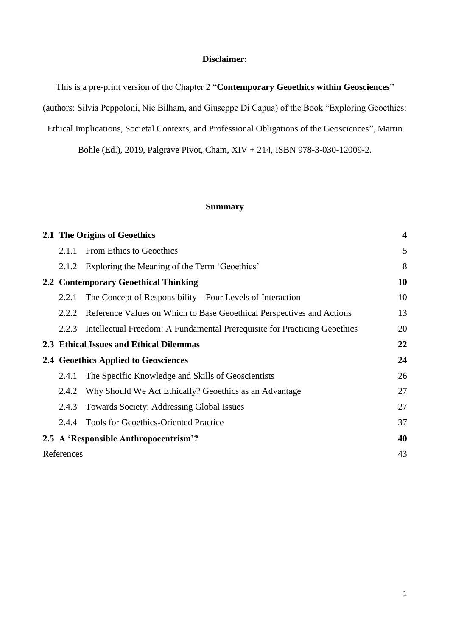## **Disclaimer:**

This is a pre-print version of the Chapter 2 "**Contemporary Geoethics within Geosciences**"

(authors: Silvia Peppoloni, Nic Bilham, and Giuseppe Di Capua) of the Book "Exploring Geoethics:

Ethical Implications, Societal Contexts, and Professional Obligations of the Geosciences", Martin

Bohle (Ed.), 2019, Palgrave Pivot, Cham, XIV + 214, ISBN 978-3-030-12009-2.

# **Summary**

|                                       |                                      | 2.1 The Origins of Geoethics                                              |    |
|---------------------------------------|--------------------------------------|---------------------------------------------------------------------------|----|
|                                       | 2.1.1                                | From Ethics to Geoethics                                                  | 5  |
|                                       |                                      | 2.1.2 Exploring the Meaning of the Term 'Geoethics'                       | 8  |
|                                       |                                      | 2.2 Contemporary Geoethical Thinking                                      | 10 |
|                                       | 2.2.1                                | The Concept of Responsibility—Four Levels of Interaction                  | 10 |
|                                       | 2.2.2                                | Reference Values on Which to Base Geoethical Perspectives and Actions     | 13 |
|                                       | 2.2.3                                | Intellectual Freedom: A Fundamental Prerequisite for Practicing Geoethics | 20 |
|                                       |                                      | 2.3 Ethical Issues and Ethical Dilemmas                                   | 22 |
|                                       | 2.4 Geoethics Applied to Geosciences |                                                                           | 24 |
|                                       | 2.4.1                                | The Specific Knowledge and Skills of Geoscientists                        | 26 |
|                                       | 2.4.2                                | Why Should We Act Ethically? Geoethics as an Advantage                    | 27 |
|                                       | 2.4.3                                | <b>Towards Society: Addressing Global Issues</b>                          | 27 |
|                                       | 2.4.4                                | <b>Tools for Geoethics-Oriented Practice</b>                              | 37 |
| 2.5 A 'Responsible Anthropocentrism'? |                                      |                                                                           | 40 |
|                                       | References                           |                                                                           |    |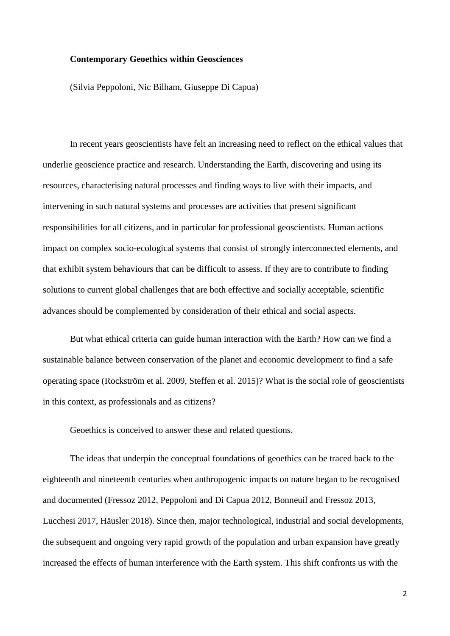#### **Contemporary Geoethics within Geosciences**

(Silvia Peppoloni, Nic Bilham, Giuseppe Di Capua)

In recent years geoscientists have felt an increasing need to reflect on the ethical values that underlie geoscience practice and research. Understanding the Earth, discovering and using its resources, characterising natural processes and finding ways to live with their impacts, and intervening in such natural systems and processes are activities that present significant responsibilities for all citizens, and in particular for professional geoscientists. Human actions impact on complex socio-ecological systems that consist of strongly interconnected elements, and that exhibit system behaviours that can be difficult to assess. If they are to contribute to finding solutions to current global challenges that are both effective and socially acceptable, scientific advances should be complemented by consideration of their ethical and social aspects.

But what ethical criteria can guide human interaction with the Earth? How can we find a sustainable balance between conservation of the planet and economic development to find a safe operating space (Rockström et al. 2009, Steffen et al. 2015)? What is the social role of geoscientists in this context, as professionals and as citizens?

Geoethics is conceived to answer these and related questions.

The ideas that underpin the conceptual foundations of geoethics can be traced back to the eighteenth and nineteenth centuries when anthropogenic impacts on nature began to be recognised and documented (Fressoz 2012, Peppoloni and Di Capua 2012, Bonneuil and Fressoz 2013, Lucchesi 2017, Häusler 2018). Since then, major technological, industrial and social developments, the subsequent and ongoing very rapid growth of the population and urban expansion have greatly increased the effects of human interference with the Earth system. This shift confronts us with the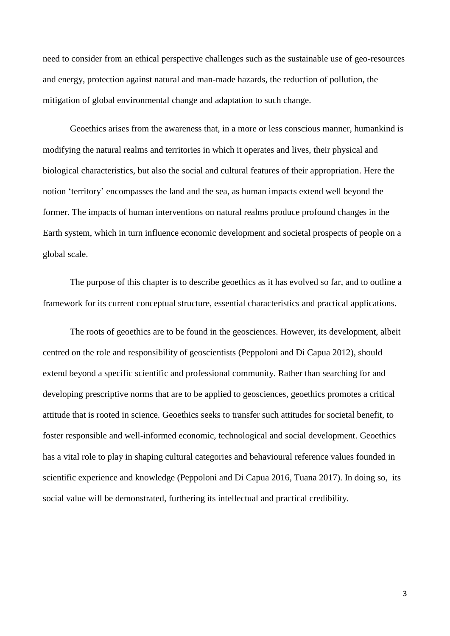need to consider from an ethical perspective challenges such as the sustainable use of geo-resources and energy, protection against natural and man-made hazards, the reduction of pollution, the mitigation of global environmental change and adaptation to such change.

Geoethics arises from the awareness that, in a more or less conscious manner, humankind is modifying the natural realms and territories in which it operates and lives, their physical and biological characteristics, but also the social and cultural features of their appropriation. Here the notion 'territory' encompasses the land and the sea, as human impacts extend well beyond the former. The impacts of human interventions on natural realms produce profound changes in the Earth system, which in turn influence economic development and societal prospects of people on a global scale.

The purpose of this chapter is to describe geoethics as it has evolved so far, and to outline a framework for its current conceptual structure, essential characteristics and practical applications.

The roots of geoethics are to be found in the geosciences. However, its development, albeit centred on the role and responsibility of geoscientists (Peppoloni and Di Capua 2012), should extend beyond a specific scientific and professional community. Rather than searching for and developing prescriptive norms that are to be applied to geosciences, geoethics promotes a critical attitude that is rooted in science. Geoethics seeks to transfer such attitudes for societal benefit, to foster responsible and well-informed economic, technological and social development. Geoethics has a vital role to play in shaping cultural categories and behavioural reference values founded in scientific experience and knowledge (Peppoloni and Di Capua 2016, Tuana 2017). In doing so, its social value will be demonstrated, furthering its intellectual and practical credibility.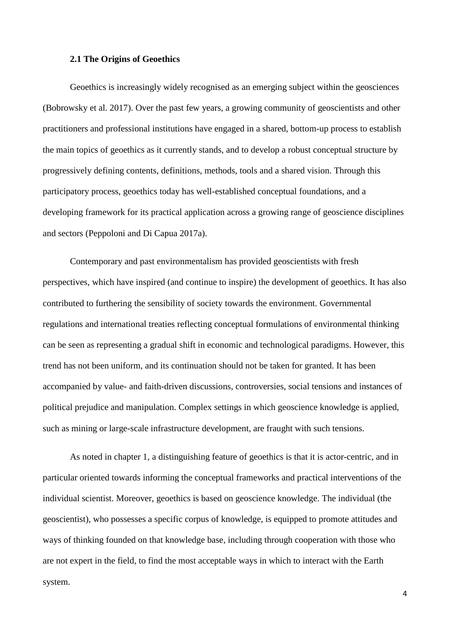#### **2.1 The Origins of Geoethics**

Geoethics is increasingly widely recognised as an emerging subject within the geosciences (Bobrowsky et al. 2017). Over the past few years, a growing community of geoscientists and other practitioners and professional institutions have engaged in a shared, bottom-up process to establish the main topics of geoethics as it currently stands, and to develop a robust conceptual structure by progressively defining contents, definitions, methods, tools and a shared vision. Through this participatory process, geoethics today has well-established conceptual foundations, and a developing framework for its practical application across a growing range of geoscience disciplines and sectors (Peppoloni and Di Capua 2017a).

Contemporary and past environmentalism has provided geoscientists with fresh perspectives, which have inspired (and continue to inspire) the development of geoethics. It has also contributed to furthering the sensibility of society towards the environment. Governmental regulations and international treaties reflecting conceptual formulations of environmental thinking can be seen as representing a gradual shift in economic and technological paradigms. However, this trend has not been uniform, and its continuation should not be taken for granted. It has been accompanied by value- and faith-driven discussions, controversies, social tensions and instances of political prejudice and manipulation. Complex settings in which geoscience knowledge is applied, such as mining or large-scale infrastructure development, are fraught with such tensions.

As noted in chapter 1, a distinguishing feature of geoethics is that it is actor-centric, and in particular oriented towards informing the conceptual frameworks and practical interventions of the individual scientist. Moreover, geoethics is based on geoscience knowledge. The individual (the geoscientist), who possesses a specific corpus of knowledge, is equipped to promote attitudes and ways of thinking founded on that knowledge base, including through cooperation with those who are not expert in the field, to find the most acceptable ways in which to interact with the Earth system.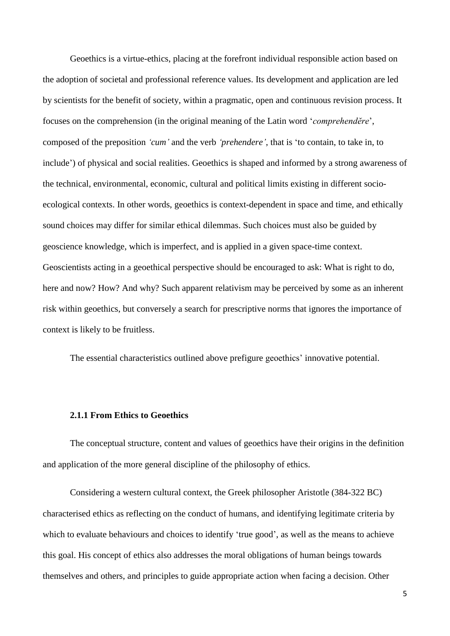Geoethics is a virtue-ethics, placing at the forefront individual responsible action based on the adoption of societal and professional reference values. Its development and application are led by scientists for the benefit of society, within a pragmatic, open and continuous revision process. It focuses on the comprehension (in the original meaning of the Latin word '*comprehendĕre*', composed of the preposition *'cum'* and the verb *'prehendere'*, that is 'to contain, to take in, to include') of physical and social realities. Geoethics is shaped and informed by a strong awareness of the technical, environmental, economic, cultural and political limits existing in different socioecological contexts. In other words, geoethics is context-dependent in space and time, and ethically sound choices may differ for similar ethical dilemmas. Such choices must also be guided by geoscience knowledge, which is imperfect, and is applied in a given space-time context. Geoscientists acting in a geoethical perspective should be encouraged to ask: What is right to do, here and now? How? And why? Such apparent relativism may be perceived by some as an inherent risk within geoethics, but conversely a search for prescriptive norms that ignores the importance of context is likely to be fruitless.

The essential characteristics outlined above prefigure geoethics' innovative potential.

## **2.1.1 From Ethics to Geoethics**

The conceptual structure, content and values of geoethics have their origins in the definition and application of the more general discipline of the philosophy of ethics.

Considering a western cultural context, the Greek philosopher Aristotle (384-322 BC) characterised ethics as reflecting on the conduct of humans, and identifying legitimate criteria by which to evaluate behaviours and choices to identify 'true good', as well as the means to achieve this goal. His concept of ethics also addresses the moral obligations of human beings towards themselves and others, and principles to guide appropriate action when facing a decision. Other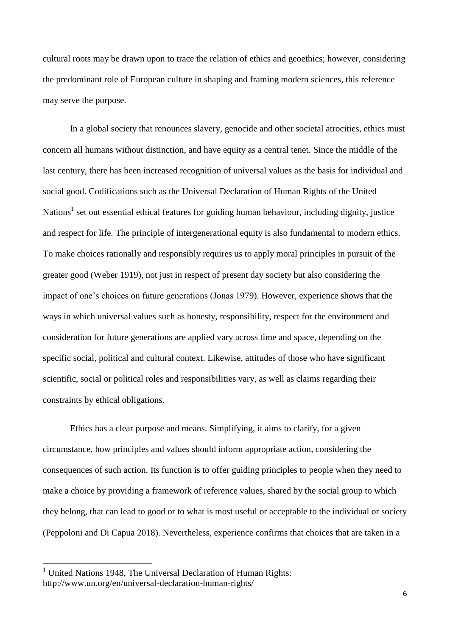cultural roots may be drawn upon to trace the relation of ethics and geoethics; however, considering the predominant role of European culture in shaping and framing modern sciences, this reference may serve the purpose.

In a global society that renounces slavery, genocide and other societal atrocities, ethics must concern all humans without distinction, and have equity as a central tenet. Since the middle of the last century, there has been increased recognition of universal values as the basis for individual and social good. Codifications such as the Universal Declaration of Human Rights of the United Nations<sup>1</sup> set out essential ethical features for guiding human behaviour, including dignity, justice and respect for life. The principle of intergenerational equity is also fundamental to modern ethics. To make choices rationally and responsibly requires us to apply moral principles in pursuit of the greater good (Weber 1919), not just in respect of present day society but also considering the impact of one's choices on future generations (Jonas 1979). However, experience shows that the ways in which universal values such as honesty, responsibility, respect for the environment and consideration for future generations are applied vary across time and space, depending on the specific social, political and cultural context. Likewise, attitudes of those who have significant scientific, social or political roles and responsibilities vary, as well as claims regarding their constraints by ethical obligations.

Ethics has a clear purpose and means. Simplifying, it aims to clarify, for a given circumstance, how principles and values should inform appropriate action, considering the consequences of such action. Its function is to offer guiding principles to people when they need to make a choice by providing a framework of reference values, shared by the social group to which they belong, that can lead to good or to what is most useful or acceptable to the individual or society (Peppoloni and Di Capua 2018). Nevertheless, experience confirms that choices that are taken in a

 $1$  United Nations 1948, The Universal Declaration of Human Rights: http://www.un.org/en/universal-declaration-human-rights/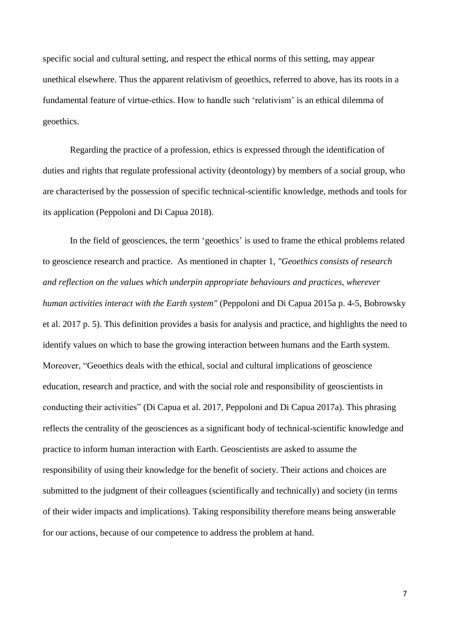specific social and cultural setting, and respect the ethical norms of this setting, may appear unethical elsewhere. Thus the apparent relativism of geoethics, referred to above, has its roots in a fundamental feature of virtue-ethics. How to handle such 'relativism' is an ethical dilemma of geoethics.

Regarding the practice of a profession, ethics is expressed through the identification of duties and rights that regulate professional activity (deontology) by members of a social group, who are characterised by the possession of specific technical-scientific knowledge, methods and tools for its application (Peppoloni and Di Capua 2018).

In the field of geosciences, the term 'geoethics' is used to frame the ethical problems related to geoscience research and practice. As mentioned in chapter 1, *"Geoethics consists of research and reflection on the values which underpin appropriate behaviours and practices, wherever human activities interact with the Earth system"* (Peppoloni and Di Capua 2015a p. 4-5, Bobrowsky et al. 2017 p. 5). This definition provides a basis for analysis and practice, and highlights the need to identify values on which to base the growing interaction between humans and the Earth system. Moreover, "Geoethics deals with the ethical, social and cultural implications of geoscience education, research and practice, and with the social role and responsibility of geoscientists in conducting their activities" (Di Capua et al. 2017, Peppoloni and Di Capua 2017a). This phrasing reflects the centrality of the geosciences as a significant body of technical-scientific knowledge and practice to inform human interaction with Earth. Geoscientists are asked to assume the responsibility of using their knowledge for the benefit of society. Their actions and choices are submitted to the judgment of their colleagues (scientifically and technically) and society (in terms of their wider impacts and implications). Taking responsibility therefore means being answerable for our actions, because of our competence to address the problem at hand.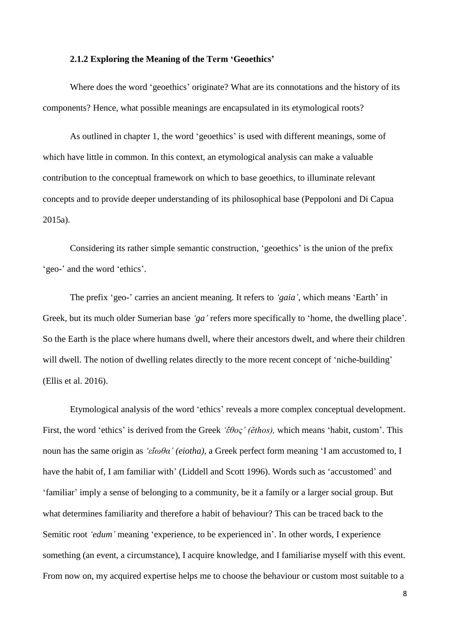## **2.1.2 Exploring the Meaning of the Term 'Geoethics'**

Where does the word 'geoethics' originate? What are its connotations and the history of its components? Hence, what possible meanings are encapsulated in its etymological roots?

As outlined in chapter 1, the word 'geoethics' is used with different meanings, some of which have little in common. In this context, an etymological analysis can make a valuable contribution to the conceptual framework on which to base geoethics, to illuminate relevant concepts and to provide deeper understanding of its philosophical base (Peppoloni and Di Capua 2015a).

Considering its rather simple semantic construction, 'geoethics' is the union of the prefix 'geo-' and the word 'ethics'.

The prefix 'geo-' carries an ancient meaning. It refers to *'gaia'*, which means 'Earth' in Greek, but its much older Sumerian base *'ga'* refers more specifically to 'home, the dwelling place'. So the Earth is the place where humans dwell, where their ancestors dwelt, and where their children will dwell. The notion of dwelling relates directly to the more recent concept of 'niche-building' (Ellis et al. 2016).

Etymological analysis of the word 'ethics' reveals a more complex conceptual development. First, the word 'ethics' is derived from the Greek *'ἔθος' (ĕthos),* which means 'habit, custom'. This noun has the same origin as *'εἴωθα' (eiotha),* a Greek perfect form meaning 'I am accustomed to, I have the habit of, I am familiar with' (Liddell and Scott 1996). Words such as 'accustomed' and 'familiar' imply a sense of belonging to a community, be it a family or a larger social group. But what determines familiarity and therefore a habit of behaviour? This can be traced back to the Semitic root *'edum'* meaning 'experience, to be experienced in'. In other words, I experience something (an event, a circumstance), I acquire knowledge, and I familiarise myself with this event. From now on, my acquired expertise helps me to choose the behaviour or custom most suitable to a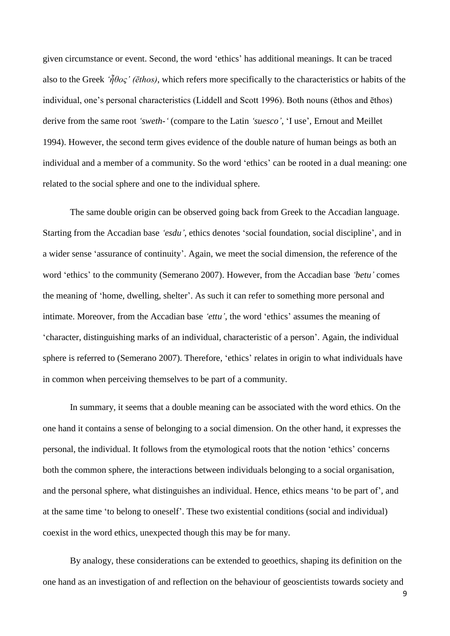given circumstance or event. Second, the word 'ethics' has additional meanings. It can be traced also to the Greek *'ἦθος' (ēthos)*, which refers more specifically to the characteristics or habits of the individual, one's personal characteristics (Liddell and Scott 1996). Both nouns (ĕthos and ēthos) derive from the same root *'sweth-'* (compare to the Latin *'suesco'*, 'I use', Ernout and Meillet 1994). However, the second term gives evidence of the double nature of human beings as both an individual and a member of a community. So the word 'ethics' can be rooted in a dual meaning: one related to the social sphere and one to the individual sphere.

The same double origin can be observed going back from Greek to the Accadian language. Starting from the Accadian base *'esdu'*, ethics denotes 'social foundation, social discipline', and in a wider sense 'assurance of continuity'. Again, we meet the social dimension, the reference of the word 'ethics' to the community (Semerano 2007). However, from the Accadian base *'betu'* comes the meaning of 'home, dwelling, shelter'. As such it can refer to something more personal and intimate. Moreover, from the Accadian base *'ettu'*, the word 'ethics' assumes the meaning of 'character, distinguishing marks of an individual, characteristic of a person'. Again, the individual sphere is referred to (Semerano 2007). Therefore, 'ethics' relates in origin to what individuals have in common when perceiving themselves to be part of a community.

In summary, it seems that a double meaning can be associated with the word ethics. On the one hand it contains a sense of belonging to a social dimension. On the other hand, it expresses the personal, the individual. It follows from the etymological roots that the notion 'ethics' concerns both the common sphere, the interactions between individuals belonging to a social organisation, and the personal sphere, what distinguishes an individual. Hence, ethics means 'to be part of', and at the same time 'to belong to oneself'. These two existential conditions (social and individual) coexist in the word ethics, unexpected though this may be for many.

By analogy, these considerations can be extended to geoethics, shaping its definition on the one hand as an investigation of and reflection on the behaviour of geoscientists towards society and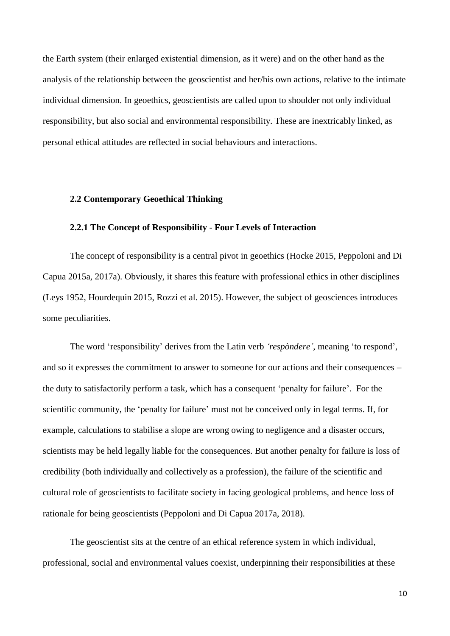the Earth system (their enlarged existential dimension, as it were) and on the other hand as the analysis of the relationship between the geoscientist and her/his own actions, relative to the intimate individual dimension. In geoethics, geoscientists are called upon to shoulder not only individual responsibility, but also social and environmental responsibility. These are inextricably linked, as personal ethical attitudes are reflected in social behaviours and interactions.

#### **2.2 Contemporary Geoethical Thinking**

## **2.2.1 The Concept of Responsibility - Four Levels of Interaction**

The concept of responsibility is a central pivot in geoethics (Hocke 2015, Peppoloni and Di Capua 2015a, 2017a). Obviously, it shares this feature with professional ethics in other disciplines (Leys 1952, Hourdequin 2015, Rozzi et al. 2015). However, the subject of geosciences introduces some peculiarities.

The word 'responsibility' derives from the Latin verb *'respòndere'*, meaning 'to respond', and so it expresses the commitment to answer to someone for our actions and their consequences – the duty to satisfactorily perform a task, which has a consequent 'penalty for failure'. For the scientific community, the 'penalty for failure' must not be conceived only in legal terms. If, for example, calculations to stabilise a slope are wrong owing to negligence and a disaster occurs, scientists may be held legally liable for the consequences. But another penalty for failure is loss of credibility (both individually and collectively as a profession), the failure of the scientific and cultural role of geoscientists to facilitate society in facing geological problems, and hence loss of rationale for being geoscientists (Peppoloni and Di Capua 2017a, 2018).

The geoscientist sits at the centre of an ethical reference system in which individual, professional, social and environmental values coexist, underpinning their responsibilities at these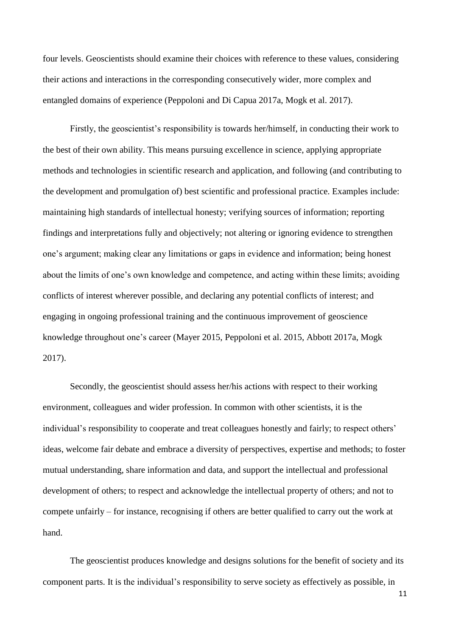four levels. Geoscientists should examine their choices with reference to these values, considering their actions and interactions in the corresponding consecutively wider, more complex and entangled domains of experience (Peppoloni and Di Capua 2017a, Mogk et al. 2017).

Firstly, the geoscientist's responsibility is towards her/himself, in conducting their work to the best of their own ability. This means pursuing excellence in science, applying appropriate methods and technologies in scientific research and application, and following (and contributing to the development and promulgation of) best scientific and professional practice. Examples include: maintaining high standards of intellectual honesty; verifying sources of information; reporting findings and interpretations fully and objectively; not altering or ignoring evidence to strengthen one's argument; making clear any limitations or gaps in evidence and information; being honest about the limits of one's own knowledge and competence, and acting within these limits; avoiding conflicts of interest wherever possible, and declaring any potential conflicts of interest; and engaging in ongoing professional training and the continuous improvement of geoscience knowledge throughout one's career (Mayer 2015, Peppoloni et al. 2015, Abbott 2017a, Mogk 2017).

Secondly, the geoscientist should assess her/his actions with respect to their working environment, colleagues and wider profession. In common with other scientists, it is the individual's responsibility to cooperate and treat colleagues honestly and fairly; to respect others' ideas, welcome fair debate and embrace a diversity of perspectives, expertise and methods; to foster mutual understanding, share information and data, and support the intellectual and professional development of others; to respect and acknowledge the intellectual property of others; and not to compete unfairly – for instance, recognising if others are better qualified to carry out the work at hand.

The geoscientist produces knowledge and designs solutions for the benefit of society and its component parts. It is the individual's responsibility to serve society as effectively as possible, in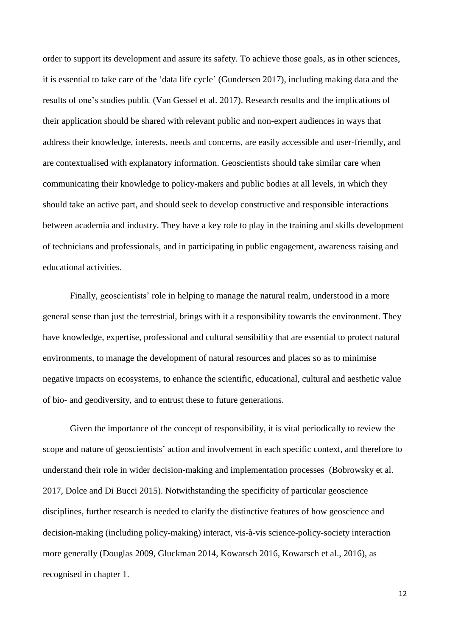order to support its development and assure its safety. To achieve those goals, as in other sciences, it is essential to take care of the 'data life cycle' (Gundersen 2017), including making data and the results of one's studies public (Van Gessel et al. 2017). Research results and the implications of their application should be shared with relevant public and non-expert audiences in ways that address their knowledge, interests, needs and concerns, are easily accessible and user-friendly, and are contextualised with explanatory information. Geoscientists should take similar care when communicating their knowledge to policy-makers and public bodies at all levels, in which they should take an active part, and should seek to develop constructive and responsible interactions between academia and industry. They have a key role to play in the training and skills development of technicians and professionals, and in participating in public engagement, awareness raising and educational activities.

Finally, geoscientists' role in helping to manage the natural realm, understood in a more general sense than just the terrestrial, brings with it a responsibility towards the environment. They have knowledge, expertise, professional and cultural sensibility that are essential to protect natural environments, to manage the development of natural resources and places so as to minimise negative impacts on ecosystems, to enhance the scientific, educational, cultural and aesthetic value of bio- and geodiversity, and to entrust these to future generations.

Given the importance of the concept of responsibility, it is vital periodically to review the scope and nature of geoscientists' action and involvement in each specific context, and therefore to understand their role in wider decision-making and implementation processes (Bobrowsky et al. 2017, Dolce and Di Bucci 2015). Notwithstanding the specificity of particular geoscience disciplines, further research is needed to clarify the distinctive features of how geoscience and decision-making (including policy-making) interact, vis-à-vis science-policy-society interaction more generally (Douglas 2009, Gluckman 2014, Kowarsch 2016, Kowarsch et al., 2016), as recognised in chapter 1.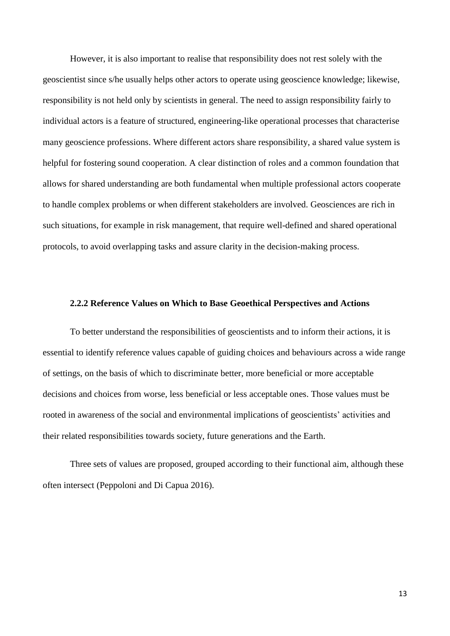However, it is also important to realise that responsibility does not rest solely with the geoscientist since s/he usually helps other actors to operate using geoscience knowledge; likewise, responsibility is not held only by scientists in general. The need to assign responsibility fairly to individual actors is a feature of structured, engineering-like operational processes that characterise many geoscience professions. Where different actors share responsibility, a shared value system is helpful for fostering sound cooperation. A clear distinction of roles and a common foundation that allows for shared understanding are both fundamental when multiple professional actors cooperate to handle complex problems or when different stakeholders are involved. Geosciences are rich in such situations, for example in risk management, that require well-defined and shared operational protocols, to avoid overlapping tasks and assure clarity in the decision-making process.

#### **2.2.2 Reference Values on Which to Base Geoethical Perspectives and Actions**

To better understand the responsibilities of geoscientists and to inform their actions, it is essential to identify reference values capable of guiding choices and behaviours across a wide range of settings, on the basis of which to discriminate better, more beneficial or more acceptable decisions and choices from worse, less beneficial or less acceptable ones. Those values must be rooted in awareness of the social and environmental implications of geoscientists' activities and their related responsibilities towards society, future generations and the Earth.

Three sets of values are proposed, grouped according to their functional aim, although these often intersect (Peppoloni and Di Capua 2016).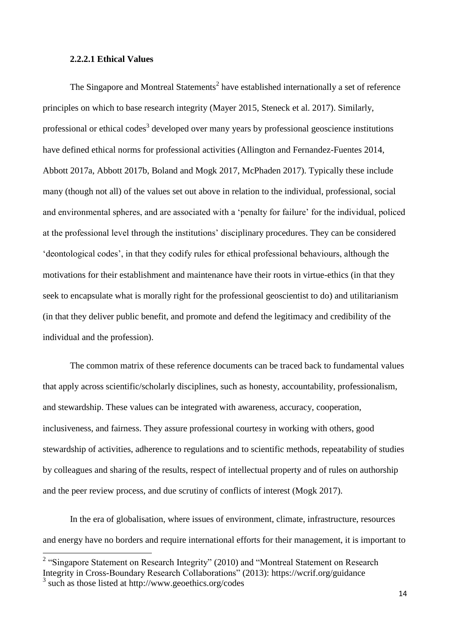## **2.2.2.1 Ethical Values**

The Singapore and Montreal Statements<sup>2</sup> have established internationally a set of reference principles on which to base research integrity (Mayer 2015, Steneck et al. 2017). Similarly, professional or ethical codes<sup>3</sup> developed over many years by professional geoscience institutions have defined ethical norms for professional activities (Allington and Fernandez-Fuentes 2014, Abbott 2017a, Abbott 2017b, Boland and Mogk 2017, McPhaden 2017). Typically these include many (though not all) of the values set out above in relation to the individual, professional, social and environmental spheres, and are associated with a 'penalty for failure' for the individual, policed at the professional level through the institutions' disciplinary procedures. They can be considered 'deontological codes', in that they codify rules for ethical professional behaviours, although the motivations for their establishment and maintenance have their roots in virtue-ethics (in that they seek to encapsulate what is morally right for the professional geoscientist to do) and utilitarianism (in that they deliver public benefit, and promote and defend the legitimacy and credibility of the individual and the profession).

The common matrix of these reference documents can be traced back to fundamental values that apply across scientific/scholarly disciplines, such as honesty, accountability, professionalism, and stewardship. These values can be integrated with awareness, accuracy, cooperation, inclusiveness, and fairness. They assure professional courtesy in working with others, good stewardship of activities, adherence to regulations and to scientific methods, repeatability of studies by colleagues and sharing of the results, respect of intellectual property and of rules on authorship and the peer review process, and due scrutiny of conflicts of interest (Mogk 2017).

In the era of globalisation, where issues of environment, climate, infrastructure, resources and energy have no borders and require international efforts for their management, it is important to

<sup>&</sup>lt;sup>2</sup> "Singapore Statement on Research Integrity" (2010) and "Montreal Statement on Research Integrity in Cross-Boundary Research Collaborations" (2013):<https://wcrif.org/guidance> <sup>3</sup> such as those listed at<http://www.geoethics.org/codes>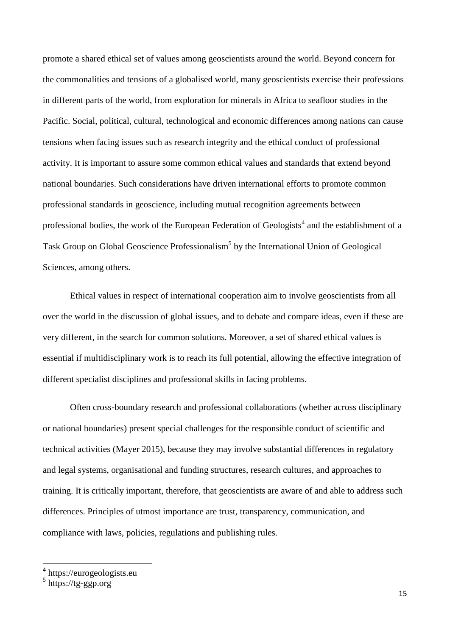promote a shared ethical set of values among geoscientists around the world. Beyond concern for the commonalities and tensions of a globalised world, many geoscientists exercise their professions in different parts of the world, from exploration for minerals in Africa to seafloor studies in the Pacific. Social, political, cultural, technological and economic differences among nations can cause tensions when facing issues such as research integrity and the ethical conduct of professional activity. It is important to assure some common ethical values and standards that extend beyond national boundaries. Such considerations have driven international efforts to promote common professional standards in geoscience, including mutual recognition agreements between professional bodies, the work of the European Federation of Geologists<sup>4</sup> and the establishment of a Task Group on Global Geoscience Professionalism<sup>5</sup> by the International Union of Geological Sciences, among others.

Ethical values in respect of international cooperation aim to involve geoscientists from all over the world in the discussion of global issues, and to debate and compare ideas, even if these are very different, in the search for common solutions. Moreover, a set of shared ethical values is essential if multidisciplinary work is to reach its full potential, allowing the effective integration of different specialist disciplines and professional skills in facing problems.

Often cross-boundary research and professional collaborations (whether across disciplinary or national boundaries) present special challenges for the responsible conduct of scientific and technical activities (Mayer 2015), because they may involve substantial differences in regulatory and legal systems, organisational and funding structures, research cultures, and approaches to training. It is critically important, therefore, that geoscientists are aware of and able to address such differences. Principles of utmost importance are trust, transparency, communication, and compliance with laws, policies, regulations and publishing rules.

 4 https://eurogeologists.eu

 $5 \text{ https://tg-ggp.org}$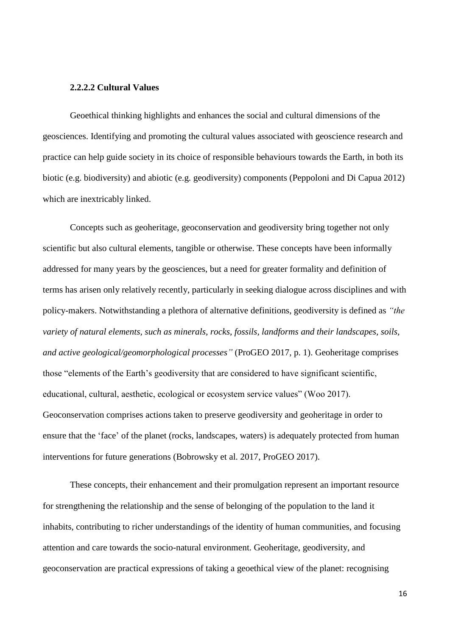## **2.2.2.2 Cultural Values**

Geoethical thinking highlights and enhances the social and cultural dimensions of the geosciences. Identifying and promoting the cultural values associated with geoscience research and practice can help guide society in its choice of responsible behaviours towards the Earth, in both its biotic (e.g. biodiversity) and abiotic (e.g. geodiversity) components (Peppoloni and Di Capua 2012) which are inextricably linked.

Concepts such as geoheritage, geoconservation and geodiversity bring together not only scientific but also cultural elements, tangible or otherwise. These concepts have been informally addressed for many years by the geosciences, but a need for greater formality and definition of terms has arisen only relatively recently, particularly in seeking dialogue across disciplines and with policy-makers. Notwithstanding a plethora of alternative definitions, geodiversity is defined as *"the variety of natural elements, such as minerals, rocks, fossils, landforms and their landscapes, soils, and active geological/geomorphological processes"* (ProGEO 2017, p. 1). Geoheritage comprises those "elements of the Earth's geodiversity that are considered to have significant scientific, educational, cultural, aesthetic, ecological or ecosystem service values" (Woo 2017). Geoconservation comprises actions taken to preserve geodiversity and geoheritage in order to ensure that the 'face' of the planet (rocks, landscapes, waters) is adequately protected from human interventions for future generations (Bobrowsky et al. 2017, ProGEO 2017).

These concepts, their enhancement and their promulgation represent an important resource for strengthening the relationship and the sense of belonging of the population to the land it inhabits, contributing to richer understandings of the identity of human communities, and focusing attention and care towards the socio-natural environment. Geoheritage, geodiversity, and geoconservation are practical expressions of taking a geoethical view of the planet: recognising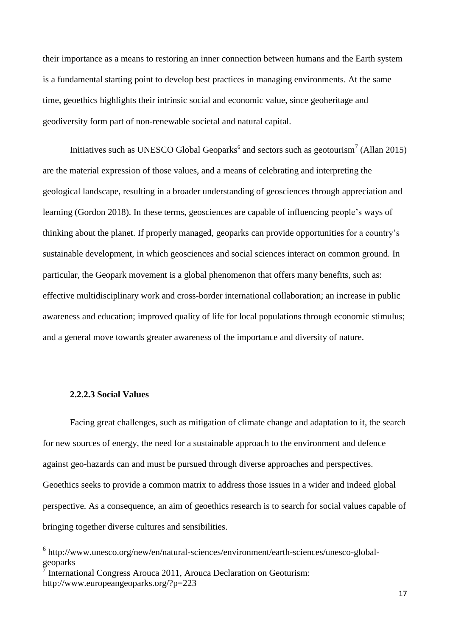their importance as a means to restoring an inner connection between humans and the Earth system is a fundamental starting point to develop best practices in managing environments. At the same time, geoethics highlights their intrinsic social and economic value, since geoheritage and geodiversity form part of non-renewable societal and natural capital.

Initiatives such as UNESCO Global Geoparks<sup>6</sup> and sectors such as geotourism<sup>7</sup> (Allan 2015) are the material expression of those values, and a means of celebrating and interpreting the geological landscape, resulting in a broader understanding of geosciences through appreciation and learning (Gordon 2018). In these terms, geosciences are capable of influencing people's ways of thinking about the planet. If properly managed, geoparks can provide opportunities for a country's sustainable development, in which geosciences and social sciences interact on common ground. In particular, the Geopark movement is a global phenomenon that offers many benefits, such as: effective multidisciplinary work and cross-border international collaboration; an increase in public awareness and education; improved quality of life for local populations through economic stimulus; and a general move towards greater awareness of the importance and diversity of nature.

## **2.2.2.3 Social Values**

**.** 

Facing great challenges, such as mitigation of climate change and adaptation to it, the search for new sources of energy, the need for a sustainable approach to the environment and defence against geo-hazards can and must be pursued through diverse approaches and perspectives. Geoethics seeks to provide a common matrix to address those issues in a wider and indeed global perspective. As a consequence, an aim of geoethics research is to search for social values capable of bringing together diverse cultures and sensibilities.

<sup>6</sup> http://www.unesco.org/new/en/natural-sciences/environment/earth-sciences/unesco-globalgeoparks

<sup>7</sup> International Congress Arouca 2011, Arouca Declaration on Geoturism: http://www.europeangeoparks.org/?p=223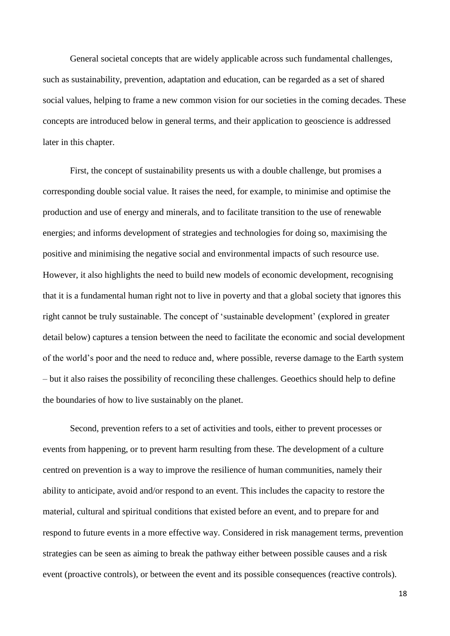General societal concepts that are widely applicable across such fundamental challenges, such as sustainability, prevention, adaptation and education, can be regarded as a set of shared social values, helping to frame a new common vision for our societies in the coming decades. These concepts are introduced below in general terms, and their application to geoscience is addressed later in this chapter.

First, the concept of sustainability presents us with a double challenge, but promises a corresponding double social value. It raises the need, for example, to minimise and optimise the production and use of energy and minerals, and to facilitate transition to the use of renewable energies; and informs development of strategies and technologies for doing so, maximising the positive and minimising the negative social and environmental impacts of such resource use. However, it also highlights the need to build new models of economic development, recognising that it is a fundamental human right not to live in poverty and that a global society that ignores this right cannot be truly sustainable. The concept of 'sustainable development' (explored in greater detail below) captures a tension between the need to facilitate the economic and social development of the world's poor and the need to reduce and, where possible, reverse damage to the Earth system – but it also raises the possibility of reconciling these challenges. Geoethics should help to define the boundaries of how to live sustainably on the planet.

Second, prevention refers to a set of activities and tools, either to prevent processes or events from happening, or to prevent harm resulting from these. The development of a culture centred on prevention is a way to improve the resilience of human communities, namely their ability to anticipate, avoid and/or respond to an event. This includes the capacity to restore the material, cultural and spiritual conditions that existed before an event, and to prepare for and respond to future events in a more effective way. Considered in risk management terms, prevention strategies can be seen as aiming to break the pathway either between possible causes and a risk event (proactive controls), or between the event and its possible consequences (reactive controls).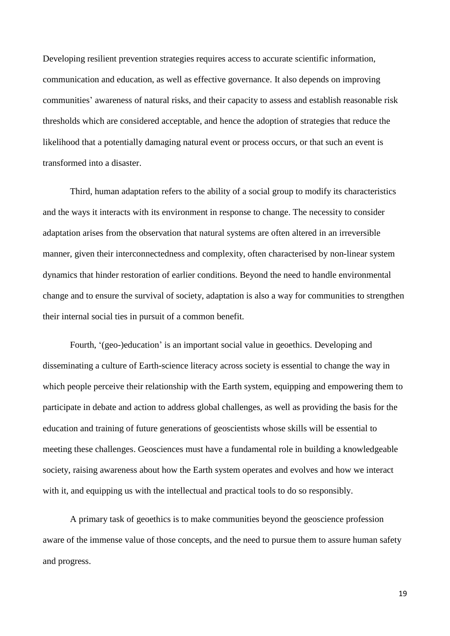Developing resilient prevention strategies requires access to accurate scientific information, communication and education, as well as effective governance. It also depends on improving communities' awareness of natural risks, and their capacity to assess and establish reasonable risk thresholds which are considered acceptable, and hence the adoption of strategies that reduce the likelihood that a potentially damaging natural event or process occurs, or that such an event is transformed into a disaster.

Third, human adaptation refers to the ability of a social group to modify its characteristics and the ways it interacts with its environment in response to change. The necessity to consider adaptation arises from the observation that natural systems are often altered in an irreversible manner, given their interconnectedness and complexity, often characterised by non-linear system dynamics that hinder restoration of earlier conditions. Beyond the need to handle environmental change and to ensure the survival of society, adaptation is also a way for communities to strengthen their internal social ties in pursuit of a common benefit.

Fourth, '(geo-)education' is an important social value in geoethics. Developing and disseminating a culture of Earth-science literacy across society is essential to change the way in which people perceive their relationship with the Earth system, equipping and empowering them to participate in debate and action to address global challenges, as well as providing the basis for the education and training of future generations of geoscientists whose skills will be essential to meeting these challenges. Geosciences must have a fundamental role in building a knowledgeable society, raising awareness about how the Earth system operates and evolves and how we interact with it, and equipping us with the intellectual and practical tools to do so responsibly.

A primary task of geoethics is to make communities beyond the geoscience profession aware of the immense value of those concepts, and the need to pursue them to assure human safety and progress.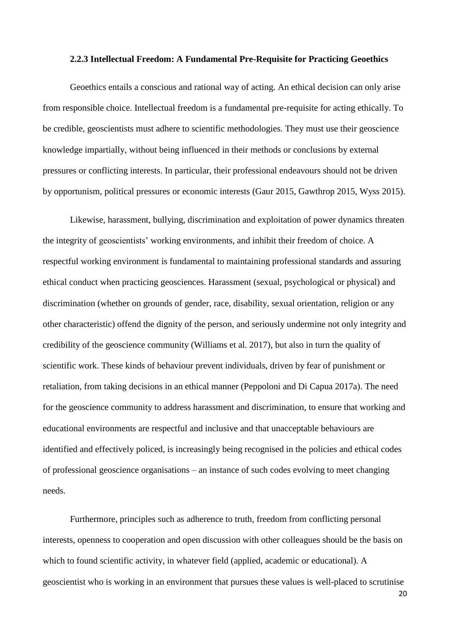#### **2.2.3 Intellectual Freedom: A Fundamental Pre-Requisite for Practicing Geoethics**

Geoethics entails a conscious and rational way of acting. An ethical decision can only arise from responsible choice. Intellectual freedom is a fundamental pre-requisite for acting ethically. To be credible, geoscientists must adhere to scientific methodologies. They must use their geoscience knowledge impartially, without being influenced in their methods or conclusions by external pressures or conflicting interests. In particular, their professional endeavours should not be driven by opportunism, political pressures or economic interests (Gaur 2015, Gawthrop 2015, Wyss 2015).

Likewise, harassment, bullying, discrimination and exploitation of power dynamics threaten the integrity of geoscientists' working environments, and inhibit their freedom of choice. A respectful working environment is fundamental to maintaining professional standards and assuring ethical conduct when practicing geosciences. Harassment (sexual, psychological or physical) and discrimination (whether on grounds of gender, race, disability, sexual orientation, religion or any other characteristic) offend the dignity of the person, and seriously undermine not only integrity and credibility of the geoscience community (Williams et al. 2017), but also in turn the quality of scientific work. These kinds of behaviour prevent individuals, driven by fear of punishment or retaliation, from taking decisions in an ethical manner (Peppoloni and Di Capua 2017a). The need for the geoscience community to address harassment and discrimination, to ensure that working and educational environments are respectful and inclusive and that unacceptable behaviours are identified and effectively policed, is increasingly being recognised in the policies and ethical codes of professional geoscience organisations – an instance of such codes evolving to meet changing needs.

Furthermore, principles such as adherence to truth, freedom from conflicting personal interests, openness to cooperation and open discussion with other colleagues should be the basis on which to found scientific activity, in whatever field (applied, academic or educational). A geoscientist who is working in an environment that pursues these values is well-placed to scrutinise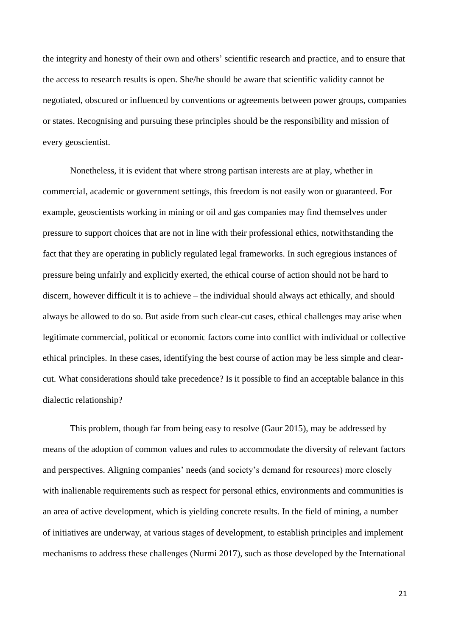the integrity and honesty of their own and others' scientific research and practice, and to ensure that the access to research results is open. She/he should be aware that scientific validity cannot be negotiated, obscured or influenced by conventions or agreements between power groups, companies or states. Recognising and pursuing these principles should be the responsibility and mission of every geoscientist.

Nonetheless, it is evident that where strong partisan interests are at play, whether in commercial, academic or government settings, this freedom is not easily won or guaranteed. For example, geoscientists working in mining or oil and gas companies may find themselves under pressure to support choices that are not in line with their professional ethics, notwithstanding the fact that they are operating in publicly regulated legal frameworks. In such egregious instances of pressure being unfairly and explicitly exerted, the ethical course of action should not be hard to discern, however difficult it is to achieve – the individual should always act ethically, and should always be allowed to do so. But aside from such clear-cut cases, ethical challenges may arise when legitimate commercial, political or economic factors come into conflict with individual or collective ethical principles. In these cases, identifying the best course of action may be less simple and clearcut. What considerations should take precedence? Is it possible to find an acceptable balance in this dialectic relationship?

This problem, though far from being easy to resolve (Gaur 2015), may be addressed by means of the adoption of common values and rules to accommodate the diversity of relevant factors and perspectives. Aligning companies' needs (and society's demand for resources) more closely with inalienable requirements such as respect for personal ethics, environments and communities is an area of active development, which is yielding concrete results. In the field of mining, a number of initiatives are underway, at various stages of development, to establish principles and implement mechanisms to address these challenges (Nurmi 2017), such as those developed by the International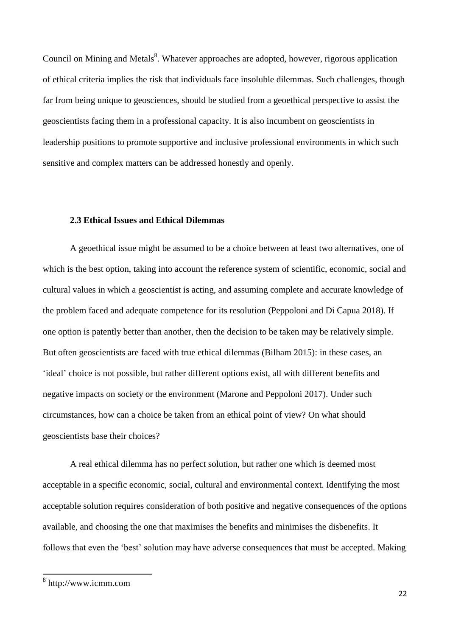Council on Mining and Metals<sup>8</sup>. Whatever approaches are adopted, however, rigorous application of ethical criteria implies the risk that individuals face insoluble dilemmas. Such challenges, though far from being unique to geosciences, should be studied from a geoethical perspective to assist the geoscientists facing them in a professional capacity. It is also incumbent on geoscientists in leadership positions to promote supportive and inclusive professional environments in which such sensitive and complex matters can be addressed honestly and openly.

#### **2.3 Ethical Issues and Ethical Dilemmas**

A geoethical issue might be assumed to be a choice between at least two alternatives, one of which is the best option, taking into account the reference system of scientific, economic, social and cultural values in which a geoscientist is acting, and assuming complete and accurate knowledge of the problem faced and adequate competence for its resolution (Peppoloni and Di Capua 2018). If one option is patently better than another, then the decision to be taken may be relatively simple. But often geoscientists are faced with true ethical dilemmas (Bilham 2015): in these cases, an 'ideal' choice is not possible, but rather different options exist, all with different benefits and negative impacts on society or the environment (Marone and Peppoloni 2017). Under such circumstances, how can a choice be taken from an ethical point of view? On what should geoscientists base their choices?

A real ethical dilemma has no perfect solution, but rather one which is deemed most acceptable in a specific economic, social, cultural and environmental context. Identifying the most acceptable solution requires consideration of both positive and negative consequences of the options available, and choosing the one that maximises the benefits and minimises the disbenefits. It follows that even the 'best' solution may have adverse consequences that must be accepted. Making

<sup>8&</sup>lt;br><sup>8</sup> [http://www.icmm.com](http://www.icmm.com/)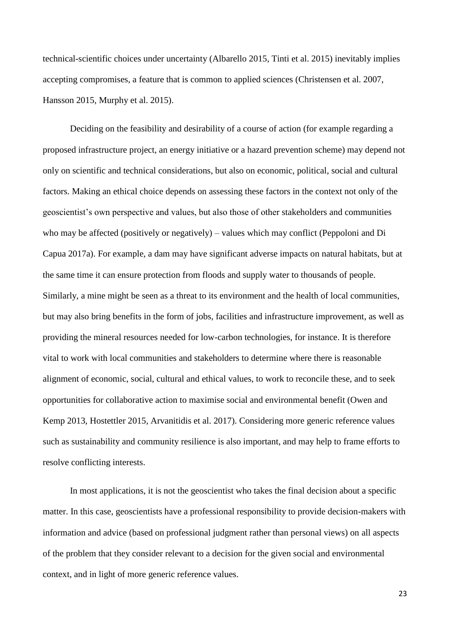technical-scientific choices under uncertainty (Albarello 2015, Tinti et al. 2015) inevitably implies accepting compromises, a feature that is common to applied sciences (Christensen et al. 2007, Hansson 2015, Murphy et al. 2015).

Deciding on the feasibility and desirability of a course of action (for example regarding a proposed infrastructure project, an energy initiative or a hazard prevention scheme) may depend not only on scientific and technical considerations, but also on economic, political, social and cultural factors. Making an ethical choice depends on assessing these factors in the context not only of the geoscientist's own perspective and values, but also those of other stakeholders and communities who may be affected (positively or negatively) – values which may conflict (Peppoloni and Di Capua 2017a). For example, a dam may have significant adverse impacts on natural habitats, but at the same time it can ensure protection from floods and supply water to thousands of people. Similarly, a mine might be seen as a threat to its environment and the health of local communities, but may also bring benefits in the form of jobs, facilities and infrastructure improvement, as well as providing the mineral resources needed for low-carbon technologies, for instance. It is therefore vital to work with local communities and stakeholders to determine where there is reasonable alignment of economic, social, cultural and ethical values, to work to reconcile these, and to seek opportunities for collaborative action to maximise social and environmental benefit (Owen and Kemp 2013, Hostettler 2015, Arvanitidis et al. 2017). Considering more generic reference values such as sustainability and community resilience is also important, and may help to frame efforts to resolve conflicting interests.

In most applications, it is not the geoscientist who takes the final decision about a specific matter. In this case, geoscientists have a professional responsibility to provide decision-makers with information and advice (based on professional judgment rather than personal views) on all aspects of the problem that they consider relevant to a decision for the given social and environmental context, and in light of more generic reference values.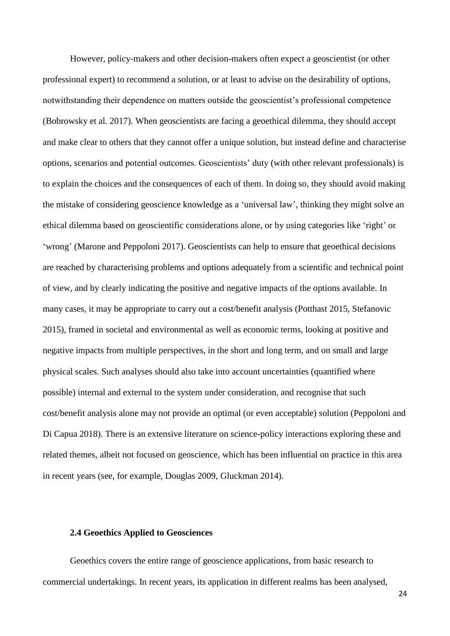However, policy-makers and other decision-makers often expect a geoscientist (or other professional expert) to recommend a solution, or at least to advise on the desirability of options, notwithstanding their dependence on matters outside the geoscientist's professional competence (Bobrowsky et al. 2017). When geoscientists are facing a geoethical dilemma, they should accept and make clear to others that they cannot offer a unique solution, but instead define and characterise options, scenarios and potential outcomes. Geoscientists' duty (with other relevant professionals) is to explain the choices and the consequences of each of them. In doing so, they should avoid making the mistake of considering geoscience knowledge as a 'universal law', thinking they might solve an ethical dilemma based on geoscientific considerations alone, or by using categories like 'right' or 'wrong' (Marone and Peppoloni 2017). Geoscientists can help to ensure that geoethical decisions are reached by characterising problems and options adequately from a scientific and technical point of view, and by clearly indicating the positive and negative impacts of the options available. In many cases, it may be appropriate to carry out a cost/benefit analysis (Potthast 2015, Stefanovic 2015), framed in societal and environmental as well as economic terms, looking at positive and negative impacts from multiple perspectives, in the short and long term, and on small and large physical scales. Such analyses should also take into account uncertainties (quantified where possible) internal and external to the system under consideration, and recognise that such cost/benefit analysis alone may not provide an optimal (or even acceptable) solution (Peppoloni and Di Capua 2018). There is an extensive literature on science-policy interactions exploring these and related themes, albeit not focused on geoscience, which has been influential on practice in this area in recent years (see, for example, Douglas 2009, Gluckman 2014).

## **2.4 Geoethics Applied to Geosciences**

Geoethics covers the entire range of geoscience applications, from basic research to commercial undertakings. In recent years, its application in different realms has been analysed,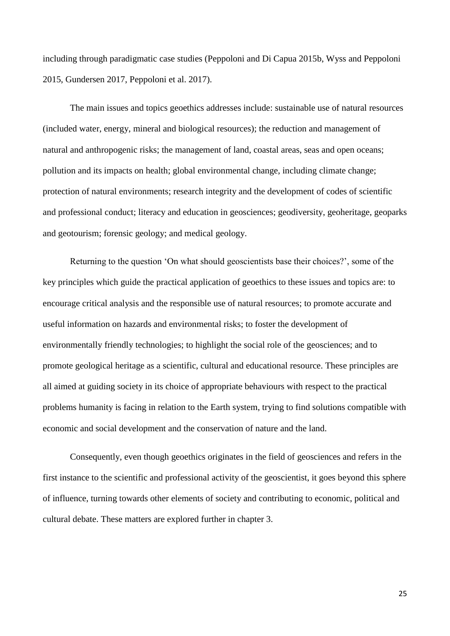including through paradigmatic case studies (Peppoloni and Di Capua 2015b, Wyss and Peppoloni 2015, Gundersen 2017, Peppoloni et al. 2017).

The main issues and topics geoethics addresses include: sustainable use of natural resources (included water, energy, mineral and biological resources); the reduction and management of natural and anthropogenic risks; the management of land, coastal areas, seas and open oceans; pollution and its impacts on health; global environmental change, including climate change; protection of natural environments; research integrity and the development of codes of scientific and professional conduct; literacy and education in geosciences; geodiversity, geoheritage, geoparks and geotourism; forensic geology; and medical geology.

Returning to the question 'On what should geoscientists base their choices?', some of the key principles which guide the practical application of geoethics to these issues and topics are: to encourage critical analysis and the responsible use of natural resources; to promote accurate and useful information on hazards and environmental risks; to foster the development of environmentally friendly technologies; to highlight the social role of the geosciences; and to promote geological heritage as a scientific, cultural and educational resource. These principles are all aimed at guiding society in its choice of appropriate behaviours with respect to the practical problems humanity is facing in relation to the Earth system, trying to find solutions compatible with economic and social development and the conservation of nature and the land.

Consequently, even though geoethics originates in the field of geosciences and refers in the first instance to the scientific and professional activity of the geoscientist, it goes beyond this sphere of influence, turning towards other elements of society and contributing to economic, political and cultural debate. These matters are explored further in chapter 3.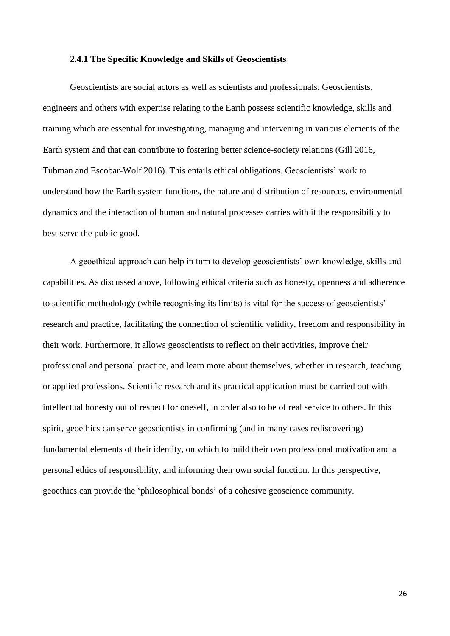#### **2.4.1 The Specific Knowledge and Skills of Geoscientists**

Geoscientists are social actors as well as scientists and professionals. Geoscientists, engineers and others with expertise relating to the Earth possess scientific knowledge, skills and training which are essential for investigating, managing and intervening in various elements of the Earth system and that can contribute to fostering better science-society relations (Gill 2016, Tubman and Escobar-Wolf 2016). This entails ethical obligations. Geoscientists' work to understand how the Earth system functions, the nature and distribution of resources, environmental dynamics and the interaction of human and natural processes carries with it the responsibility to best serve the public good.

A geoethical approach can help in turn to develop geoscientists' own knowledge, skills and capabilities. As discussed above, following ethical criteria such as honesty, openness and adherence to scientific methodology (while recognising its limits) is vital for the success of geoscientists' research and practice, facilitating the connection of scientific validity, freedom and responsibility in their work. Furthermore, it allows geoscientists to reflect on their activities, improve their professional and personal practice, and learn more about themselves, whether in research, teaching or applied professions. Scientific research and its practical application must be carried out with intellectual honesty out of respect for oneself, in order also to be of real service to others. In this spirit, geoethics can serve geoscientists in confirming (and in many cases rediscovering) fundamental elements of their identity, on which to build their own professional motivation and a personal ethics of responsibility, and informing their own social function. In this perspective, geoethics can provide the 'philosophical bonds' of a cohesive geoscience community.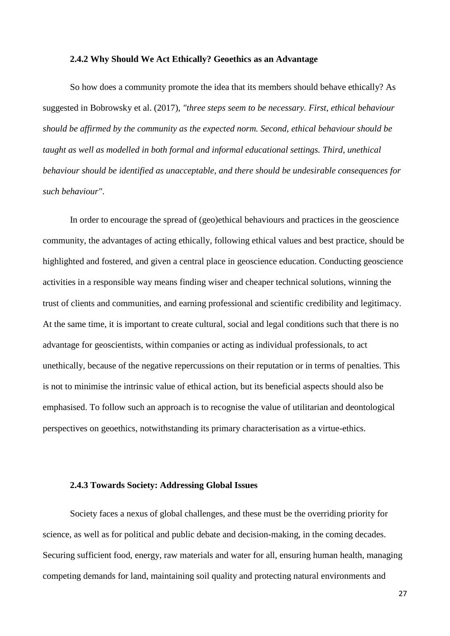#### **2.4.2 Why Should We Act Ethically? Geoethics as an Advantage**

So how does a community promote the idea that its members should behave ethically? As suggested in Bobrowsky et al. (2017), *"three steps seem to be necessary. First, ethical behaviour should be affirmed by the community as the expected norm. Second, ethical behaviour should be taught as well as modelled in both formal and informal educational settings. Third, unethical behaviour should be identified as unacceptable, and there should be undesirable consequences for such behaviour"*.

In order to encourage the spread of (geo)ethical behaviours and practices in the geoscience community, the advantages of acting ethically, following ethical values and best practice, should be highlighted and fostered, and given a central place in geoscience education. Conducting geoscience activities in a responsible way means finding wiser and cheaper technical solutions, winning the trust of clients and communities, and earning professional and scientific credibility and legitimacy. At the same time, it is important to create cultural, social and legal conditions such that there is no advantage for geoscientists, within companies or acting as individual professionals, to act unethically, because of the negative repercussions on their reputation or in terms of penalties. This is not to minimise the intrinsic value of ethical action, but its beneficial aspects should also be emphasised. To follow such an approach is to recognise the value of utilitarian and deontological perspectives on geoethics, notwithstanding its primary characterisation as a virtue-ethics.

#### **2.4.3 Towards Society: Addressing Global Issues**

Society faces a nexus of global challenges, and these must be the overriding priority for science, as well as for political and public debate and decision-making, in the coming decades. Securing sufficient food, energy, raw materials and water for all, ensuring human health, managing competing demands for land, maintaining soil quality and protecting natural environments and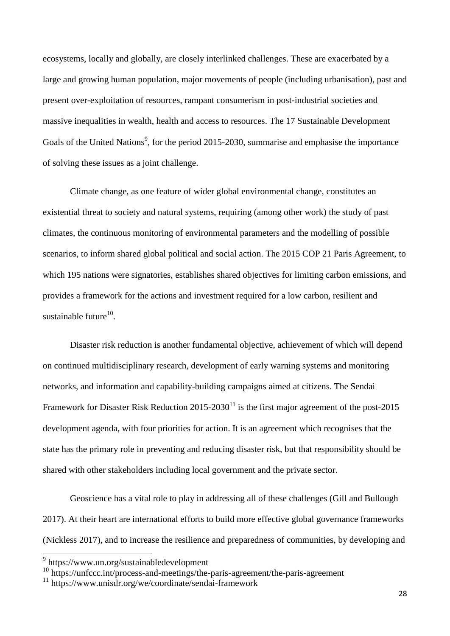ecosystems, locally and globally, are closely interlinked challenges. These are exacerbated by a large and growing human population, major movements of people (including urbanisation), past and present over-exploitation of resources, rampant consumerism in post-industrial societies and massive inequalities in wealth, health and access to resources. The 17 Sustainable Development Goals of the United Nations<sup>9</sup>, for the period 2015-2030, summarise and emphasise the importance of solving these issues as a joint challenge.

Climate change, as one feature of wider global environmental change, constitutes an existential threat to society and natural systems, requiring (among other work) the study of past climates, the continuous monitoring of environmental parameters and the modelling of possible scenarios, to inform shared global political and social action. The 2015 COP 21 Paris Agreement, to which 195 nations were signatories, establishes shared objectives for limiting carbon emissions, and provides a framework for the actions and investment required for a low carbon, resilient and sustainable future $10$ .

Disaster risk reduction is another fundamental objective, achievement of which will depend on continued multidisciplinary research, development of early warning systems and monitoring networks, and information and capability-building campaigns aimed at citizens. The Sendai Framework for Disaster Risk Reduction  $2015$ -2030<sup>11</sup> is the first major agreement of the post-2015 development agenda, with four priorities for action. It is an agreement which recognises that the state has the primary role in preventing and reducing disaster risk, but that responsibility should be shared with other stakeholders including local government and the private sector.

Geoscience has a vital role to play in addressing all of these challenges (Gill and Bullough 2017). At their heart are international efforts to build more effective global governance frameworks (Nickless 2017), and to increase the resilience and preparedness of communities, by developing and

 9 <https://www.un.org/sustainabledevelopment>

<sup>&</sup>lt;sup>10</sup> https://unfccc.int/process-and-meetings/the-paris-agreement/the-paris-agreement

<sup>11</sup> https://www.unisdr.org/we/coordinate/sendai-framework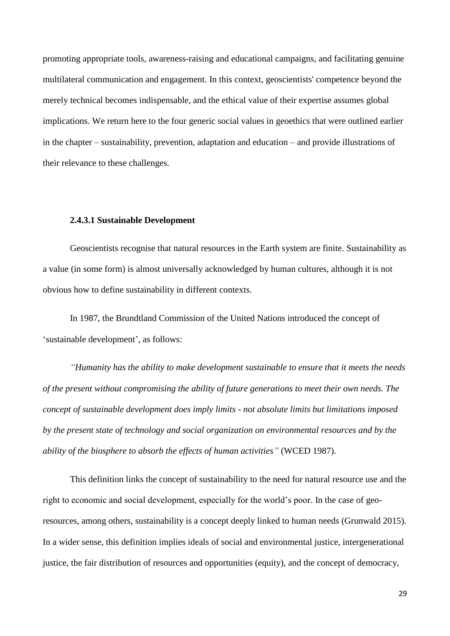promoting appropriate tools, awareness-raising and educational campaigns, and facilitating genuine multilateral communication and engagement. In this context, geoscientists' competence beyond the merely technical becomes indispensable, and the ethical value of their expertise assumes global implications. We return here to the four generic social values in geoethics that were outlined earlier in the chapter – sustainability, prevention, adaptation and education – and provide illustrations of their relevance to these challenges.

#### **2.4.3.1 Sustainable Development**

Geoscientists recognise that natural resources in the Earth system are finite. Sustainability as a value (in some form) is almost universally acknowledged by human cultures, although it is not obvious how to define sustainability in different contexts.

In 1987, the Brundtland Commission of the United Nations introduced the concept of 'sustainable development', as follows:

*"Humanity has the ability to make development sustainable to ensure that it meets the needs of the present without compromising the ability of future generations to meet their own needs. The concept of sustainable development does imply limits - not absolute limits but limitations imposed by the present state of technology and social organization on environmental resources and by the ability of the biosphere to absorb the effects of human activities"* (WCED 1987).

This definition links the concept of sustainability to the need for natural resource use and the right to economic and social development, especially for the world's poor. In the case of georesources, among others, sustainability is a concept deeply linked to human needs (Grunwald 2015). In a wider sense, this definition implies ideals of social and environmental justice, intergenerational justice, the fair distribution of resources and opportunities (equity), and the concept of democracy,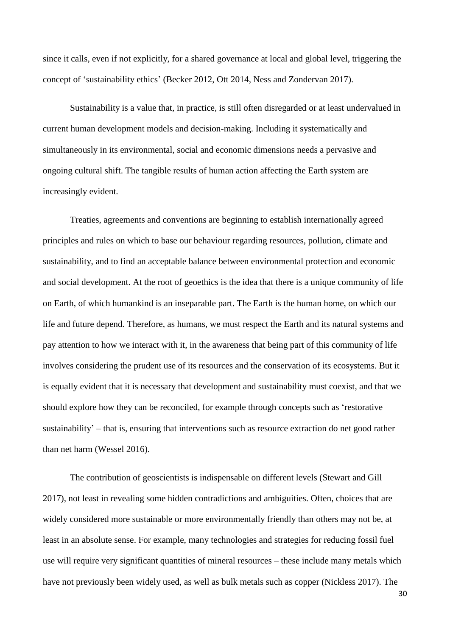since it calls, even if not explicitly, for a shared governance at local and global level, triggering the concept of 'sustainability ethics' (Becker 2012, Ott 2014, Ness and Zondervan 2017).

Sustainability is a value that, in practice, is still often disregarded or at least undervalued in current human development models and decision-making. Including it systematically and simultaneously in its environmental, social and economic dimensions needs a pervasive and ongoing cultural shift. The tangible results of human action affecting the Earth system are increasingly evident.

Treaties, agreements and conventions are beginning to establish internationally agreed principles and rules on which to base our behaviour regarding resources, pollution, climate and sustainability, and to find an acceptable balance between environmental protection and economic and social development. At the root of geoethics is the idea that there is a unique community of life on Earth, of which humankind is an inseparable part. The Earth is the human home, on which our life and future depend. Therefore, as humans, we must respect the Earth and its natural systems and pay attention to how we interact with it, in the awareness that being part of this community of life involves considering the prudent use of its resources and the conservation of its ecosystems. But it is equally evident that it is necessary that development and sustainability must coexist, and that we should explore how they can be reconciled, for example through concepts such as 'restorative sustainability' – that is, ensuring that interventions such as resource extraction do net good rather than net harm (Wessel 2016).

The contribution of geoscientists is indispensable on different levels (Stewart and Gill 2017), not least in revealing some hidden contradictions and ambiguities. Often, choices that are widely considered more sustainable or more environmentally friendly than others may not be, at least in an absolute sense. For example, many technologies and strategies for reducing fossil fuel use will require very significant quantities of mineral resources – these include many metals which have not previously been widely used, as well as bulk metals such as copper (Nickless 2017). The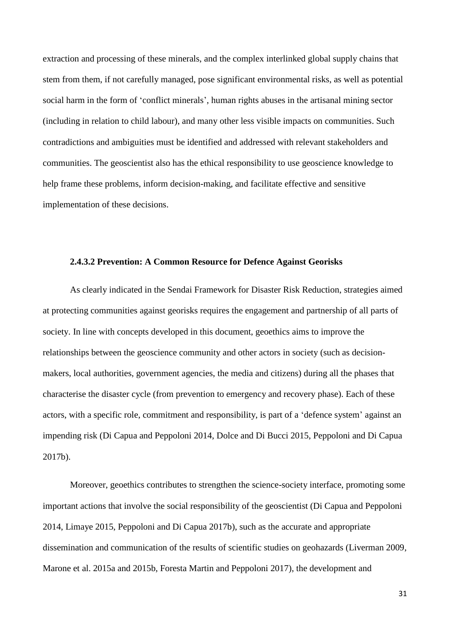extraction and processing of these minerals, and the complex interlinked global supply chains that stem from them, if not carefully managed, pose significant environmental risks, as well as potential social harm in the form of 'conflict minerals', human rights abuses in the artisanal mining sector (including in relation to child labour), and many other less visible impacts on communities. Such contradictions and ambiguities must be identified and addressed with relevant stakeholders and communities. The geoscientist also has the ethical responsibility to use geoscience knowledge to help frame these problems, inform decision-making, and facilitate effective and sensitive implementation of these decisions.

## **2.4.3.2 Prevention: A Common Resource for Defence Against Georisks**

As clearly indicated in the Sendai Framework for Disaster Risk Reduction, strategies aimed at protecting communities against georisks requires the engagement and partnership of all parts of society. In line with concepts developed in this document, geoethics aims to improve the relationships between the geoscience community and other actors in society (such as decisionmakers, local authorities, government agencies, the media and citizens) during all the phases that characterise the disaster cycle (from prevention to emergency and recovery phase). Each of these actors, with a specific role, commitment and responsibility, is part of a 'defence system' against an impending risk (Di Capua and Peppoloni 2014, Dolce and Di Bucci 2015, Peppoloni and Di Capua 2017b).

Moreover, geoethics contributes to strengthen the science-society interface, promoting some important actions that involve the social responsibility of the geoscientist (Di Capua and Peppoloni 2014, Limaye 2015, Peppoloni and Di Capua 2017b), such as the accurate and appropriate dissemination and communication of the results of scientific studies on geohazards (Liverman 2009, Marone et al. 2015a and 2015b, Foresta Martin and Peppoloni 2017), the development and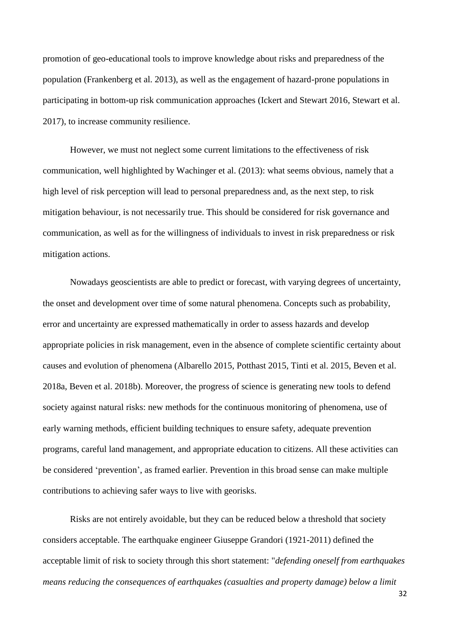promotion of geo-educational tools to improve knowledge about risks and preparedness of the population (Frankenberg et al. 2013), as well as the engagement of hazard-prone populations in participating in bottom-up risk communication approaches (Ickert and Stewart 2016, Stewart et al. 2017), to increase community resilience.

However, we must not neglect some current limitations to the effectiveness of risk communication, well highlighted by Wachinger et al. (2013): what seems obvious, namely that a high level of risk perception will lead to personal preparedness and, as the next step, to risk mitigation behaviour, is not necessarily true. This should be considered for risk governance and communication, as well as for the willingness of individuals to invest in risk preparedness or risk mitigation actions.

Nowadays geoscientists are able to predict or forecast, with varying degrees of uncertainty, the onset and development over time of some natural phenomena. Concepts such as probability, error and uncertainty are expressed mathematically in order to assess hazards and develop appropriate policies in risk management, even in the absence of complete scientific certainty about causes and evolution of phenomena (Albarello 2015, Potthast 2015, Tinti et al. 2015, Beven et al. 2018a, Beven et al. 2018b). Moreover, the progress of science is generating new tools to defend society against natural risks: new methods for the continuous monitoring of phenomena, use of early warning methods, efficient building techniques to ensure safety, adequate prevention programs, careful land management, and appropriate education to citizens. All these activities can be considered 'prevention', as framed earlier. Prevention in this broad sense can make multiple contributions to achieving safer ways to live with georisks.

Risks are not entirely avoidable, but they can be reduced below a threshold that society considers acceptable. The earthquake engineer Giuseppe Grandori (1921-2011) defined the acceptable limit of risk to society through this short statement: "*defending oneself from earthquakes means reducing the consequences of earthquakes (casualties and property damage) below a limit*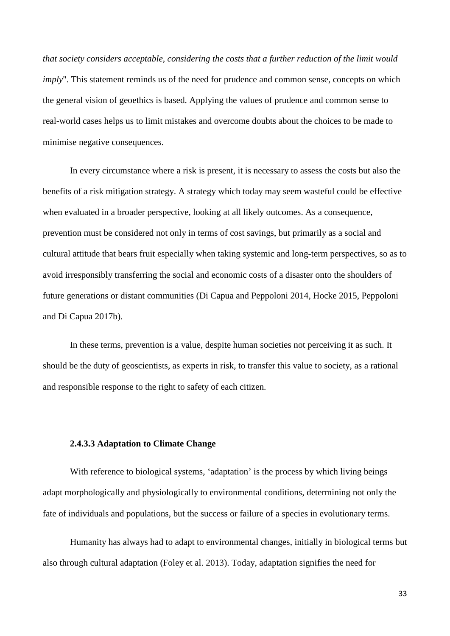*that society considers acceptable, considering the costs that a further reduction of the limit would imply*". This statement reminds us of the need for prudence and common sense, concepts on which the general vision of geoethics is based. Applying the values of prudence and common sense to real-world cases helps us to limit mistakes and overcome doubts about the choices to be made to minimise negative consequences.

In every circumstance where a risk is present, it is necessary to assess the costs but also the benefits of a risk mitigation strategy. A strategy which today may seem wasteful could be effective when evaluated in a broader perspective, looking at all likely outcomes. As a consequence, prevention must be considered not only in terms of cost savings, but primarily as a social and cultural attitude that bears fruit especially when taking systemic and long-term perspectives, so as to avoid irresponsibly transferring the social and economic costs of a disaster onto the shoulders of future generations or distant communities (Di Capua and Peppoloni 2014, Hocke 2015, Peppoloni and Di Capua 2017b).

In these terms, prevention is a value, despite human societies not perceiving it as such. It should be the duty of geoscientists, as experts in risk, to transfer this value to society, as a rational and responsible response to the right to safety of each citizen.

## **2.4.3.3 Adaptation to Climate Change**

With reference to biological systems, 'adaptation' is the process by which living beings adapt morphologically and physiologically to environmental conditions, determining not only the fate of individuals and populations, but the success or failure of a species in evolutionary terms.

Humanity has always had to adapt to environmental changes, initially in biological terms but also through cultural adaptation (Foley et al. 2013). Today, adaptation signifies the need for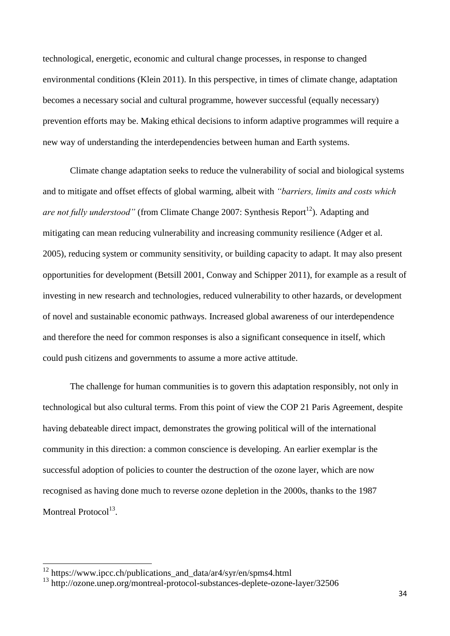technological, energetic, economic and cultural change processes, in response to changed environmental conditions (Klein 2011). In this perspective, in times of climate change, adaptation becomes a necessary social and cultural programme, however successful (equally necessary) prevention efforts may be. Making ethical decisions to inform adaptive programmes will require a new way of understanding the interdependencies between human and Earth systems.

Climate change adaptation seeks to reduce the vulnerability of social and biological systems and to mitigate and offset effects of global warming, albeit with *"barriers, limits and costs which are not fully understood"* (from Climate Change 2007: Synthesis Report<sup>12</sup>). Adapting and mitigating can mean reducing vulnerability and increasing community resilience (Adger et al. 2005), reducing system or community sensitivity, or building capacity to adapt. It may also present opportunities for development (Betsill 2001, Conway and Schipper 2011), for example as a result of investing in new research and technologies, reduced vulnerability to other hazards, or development of novel and sustainable economic pathways. Increased global awareness of our interdependence and therefore the need for common responses is also a significant consequence in itself, which could push citizens and governments to assume a more active attitude.

The challenge for human communities is to govern this adaptation responsibly, not only in technological but also cultural terms. From this point of view the COP 21 Paris Agreement, despite having debateable direct impact, demonstrates the growing political will of the international community in this direction: a common conscience is developing. An earlier exemplar is the successful adoption of policies to counter the destruction of the ozone layer, which are now recognised as having done much to reverse ozone depletion in the 2000s, thanks to the 1987 Montreal Protocol<sup>13</sup>.

<sup>&</sup>lt;sup>12</sup> [https://www.ipcc.ch/publications\\_and\\_data/ar4/syr/en/spms4.html](https://www.ipcc.ch/publications_and_data/ar4/syr/en/spms4.html)

<sup>13</sup> <http://ozone.unep.org/montreal-protocol-substances-deplete-ozone-layer/32506>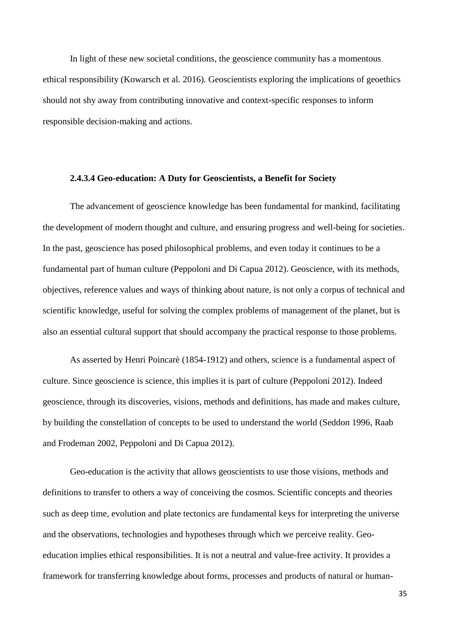In light of these new societal conditions, the geoscience community has a momentous ethical responsibility (Kowarsch et al. 2016). Geoscientists exploring the implications of geoethics should not shy away from contributing innovative and context-specific responses to inform responsible decision-making and actions.

## **2.4.3.4 Geo-education: A Duty for Geoscientists, a Benefit for Society**

The advancement of geoscience knowledge has been fundamental for mankind, facilitating the development of modern thought and culture, and ensuring progress and well-being for societies. In the past, geoscience has posed philosophical problems, and even today it continues to be a fundamental part of human culture (Peppoloni and Di Capua 2012). Geoscience, with its methods, objectives, reference values and ways of thinking about nature, is not only a corpus of technical and scientific knowledge, useful for solving the complex problems of management of the planet, but is also an essential cultural support that should accompany the practical response to those problems.

As asserted by Henri Poincarè (1854-1912) and others, science is a fundamental aspect of culture. Since geoscience is science, this implies it is part of culture (Peppoloni 2012). Indeed geoscience, through its discoveries, visions, methods and definitions, has made and makes culture, by building the constellation of concepts to be used to understand the world (Seddon 1996, Raab and Frodeman 2002, Peppoloni and Di Capua 2012).

Geo-education is the activity that allows geoscientists to use those visions, methods and definitions to transfer to others a way of conceiving the cosmos. Scientific concepts and theories such as deep time, evolution and plate tectonics are fundamental keys for interpreting the universe and the observations, technologies and hypotheses through which we perceive reality. Geoeducation implies ethical responsibilities. It is not a neutral and value-free activity. It provides a framework for transferring knowledge about forms, processes and products of natural or human-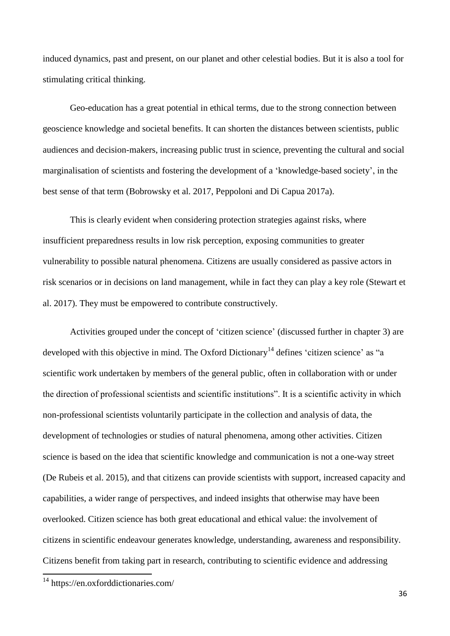induced dynamics, past and present, on our planet and other celestial bodies. But it is also a tool for stimulating critical thinking.

Geo-education has a great potential in ethical terms, due to the strong connection between geoscience knowledge and societal benefits. It can shorten the distances between scientists, public audiences and decision-makers, increasing public trust in science, preventing the cultural and social marginalisation of scientists and fostering the development of a 'knowledge-based society', in the best sense of that term (Bobrowsky et al. 2017, Peppoloni and Di Capua 2017a).

This is clearly evident when considering protection strategies against risks, where insufficient preparedness results in low risk perception, exposing communities to greater vulnerability to possible natural phenomena. Citizens are usually considered as passive actors in risk scenarios or in decisions on land management, while in fact they can play a key role (Stewart et al. 2017). They must be empowered to contribute constructively.

Activities grouped under the concept of 'citizen science' (discussed further in chapter 3) are developed with this objective in mind. The Oxford Dictionary<sup>14</sup> defines 'citizen science' as "a scientific work undertaken by members of the general public, often in collaboration with or under the direction of professional scientists and scientific institutions". It is a scientific activity in which non-professional scientists voluntarily participate in the collection and analysis of data, the development of technologies or studies of natural phenomena, among other activities. Citizen science is based on the idea that scientific knowledge and communication is not a one-way street (De Rubeis et al. 2015), and that citizens can provide scientists with support, increased capacity and capabilities, a wider range of perspectives, and indeed insights that otherwise may have been overlooked. Citizen science has both great educational and ethical value: the involvement of citizens in scientific endeavour generates knowledge, understanding, awareness and responsibility. Citizens benefit from taking part in research, contributing to scientific evidence and addressing

<sup>&</sup>lt;sup>14</sup> <https://en.oxforddictionaries.com/>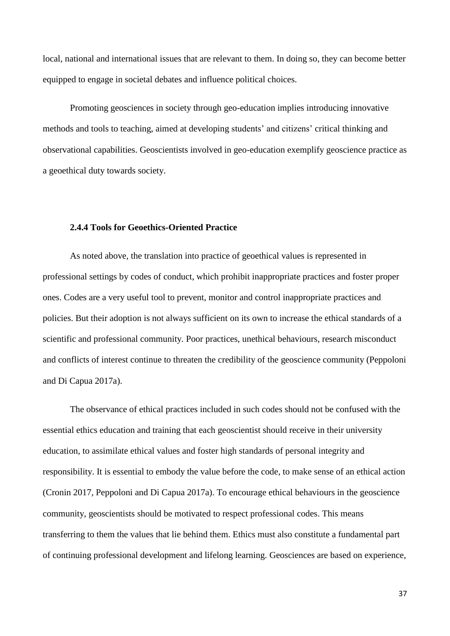local, national and international issues that are relevant to them. In doing so, they can become better equipped to engage in societal debates and influence political choices.

Promoting geosciences in society through geo-education implies introducing innovative methods and tools to teaching, aimed at developing students' and citizens' critical thinking and observational capabilities. Geoscientists involved in geo-education exemplify geoscience practice as a geoethical duty towards society.

## **2.4.4 Tools for Geoethics-Oriented Practice**

As noted above, the translation into practice of geoethical values is represented in professional settings by codes of conduct, which prohibit inappropriate practices and foster proper ones. Codes are a very useful tool to prevent, monitor and control inappropriate practices and policies. But their adoption is not always sufficient on its own to increase the ethical standards of a scientific and professional community. Poor practices, unethical behaviours, research misconduct and conflicts of interest continue to threaten the credibility of the geoscience community (Peppoloni and Di Capua 2017a).

The observance of ethical practices included in such codes should not be confused with the essential ethics education and training that each geoscientist should receive in their university education, to assimilate ethical values and foster high standards of personal integrity and responsibility. It is essential to embody the value before the code, to make sense of an ethical action (Cronin 2017, Peppoloni and Di Capua 2017a). To encourage ethical behaviours in the geoscience community, geoscientists should be motivated to respect professional codes. This means transferring to them the values that lie behind them. Ethics must also constitute a fundamental part of continuing professional development and lifelong learning. Geosciences are based on experience,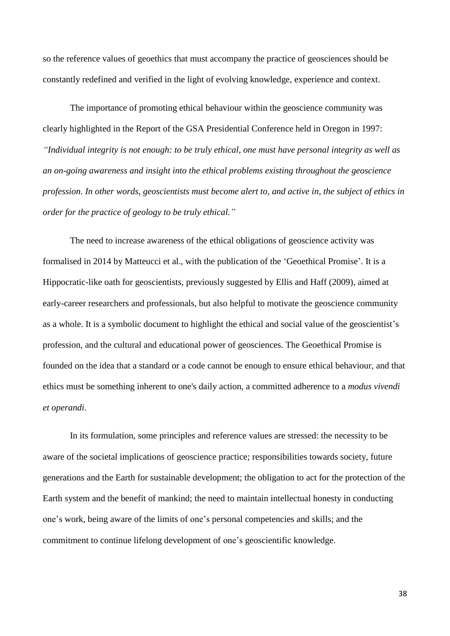so the reference values of geoethics that must accompany the practice of geosciences should be constantly redefined and verified in the light of evolving knowledge, experience and context.

The importance of promoting ethical behaviour within the geoscience community was clearly highlighted in the Report of the GSA Presidential Conference held in Oregon in 1997: *"Individual integrity is not enough: to be truly ethical, one must have personal integrity as well as an on-going awareness and insight into the ethical problems existing throughout the geoscience profession. In other words, geoscientists must become alert to, and active in, the subject of ethics in order for the practice of geology to be truly ethical."*

The need to increase awareness of the ethical obligations of geoscience activity was formalised in 2014 by Matteucci et al., with the publication of the 'Geoethical Promise'. It is a Hippocratic-like oath for geoscientists, previously suggested by Ellis and Haff (2009), aimed at early-career researchers and professionals, but also helpful to motivate the geoscience community as a whole. It is a symbolic document to highlight the ethical and social value of the geoscientist's profession, and the cultural and educational power of geosciences. The Geoethical Promise is founded on the idea that a standard or a code cannot be enough to ensure ethical behaviour, and that ethics must be something inherent to one's daily action, a committed adherence to a *modus vivendi et operandi*.

In its formulation, some principles and reference values are stressed: the necessity to be aware of the societal implications of geoscience practice; responsibilities towards society, future generations and the Earth for sustainable development; the obligation to act for the protection of the Earth system and the benefit of mankind; the need to maintain intellectual honesty in conducting one's work, being aware of the limits of one's personal competencies and skills; and the commitment to continue lifelong development of one's geoscientific knowledge.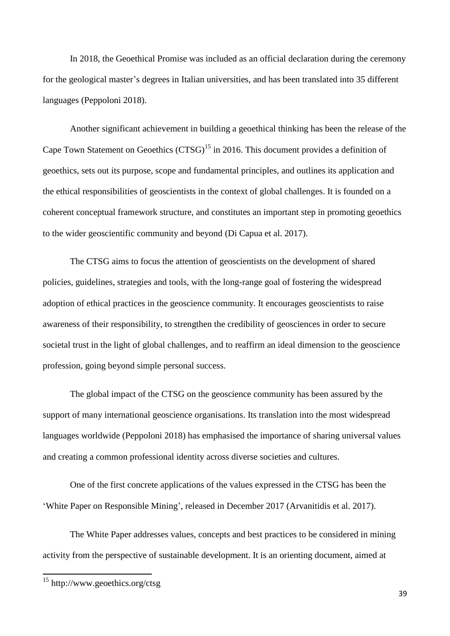In 2018, the Geoethical Promise was included as an official declaration during the ceremony for the geological master's degrees in Italian universities, and has been translated into 35 different languages (Peppoloni 2018).

Another significant achievement in building a geoethical thinking has been the release of the Cape Town Statement on Geoethics (CTSG)<sup>15</sup> in 2016. This document provides a definition of geoethics, sets out its purpose, scope and fundamental principles, and outlines its application and the ethical responsibilities of geoscientists in the context of global challenges. It is founded on a coherent conceptual framework structure, and constitutes an important step in promoting geoethics to the wider geoscientific community and beyond (Di Capua et al. 2017).

The CTSG aims to focus the attention of geoscientists on the development of shared policies, guidelines, strategies and tools, with the long-range goal of fostering the widespread adoption of ethical practices in the geoscience community. It encourages geoscientists to raise awareness of their responsibility, to strengthen the credibility of geosciences in order to secure societal trust in the light of global challenges, and to reaffirm an ideal dimension to the geoscience profession, going beyond simple personal success.

The global impact of the CTSG on the geoscience community has been assured by the support of many international geoscience organisations. Its translation into the most widespread languages worldwide (Peppoloni 2018) has emphasised the importance of sharing universal values and creating a common professional identity across diverse societies and cultures.

One of the first concrete applications of the values expressed in the CTSG has been the 'White Paper on Responsible Mining', released in December 2017 (Arvanitidis et al. 2017).

The White Paper addresses values, concepts and best practices to be considered in mining activity from the perspective of sustainable development. It is an orienting document, aimed at

<sup>15</sup> <http://www.geoethics.org/ctsg>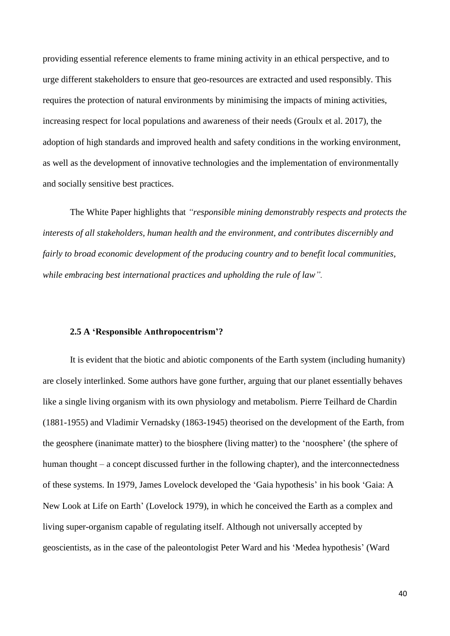providing essential reference elements to frame mining activity in an ethical perspective, and to urge different stakeholders to ensure that geo-resources are extracted and used responsibly. This requires the protection of natural environments by minimising the impacts of mining activities, increasing respect for local populations and awareness of their needs (Groulx et al. 2017), the adoption of high standards and improved health and safety conditions in the working environment, as well as the development of innovative technologies and the implementation of environmentally and socially sensitive best practices.

The White Paper highlights that *"responsible mining demonstrably respects and protects the interests of all stakeholders, human health and the environment, and contributes discernibly and fairly to broad economic development of the producing country and to benefit local communities, while embracing best international practices and upholding the rule of law".*

## **2.5 A 'Responsible Anthropocentrism'?**

It is evident that the biotic and abiotic components of the Earth system (including humanity) are closely interlinked. Some authors have gone further, arguing that our planet essentially behaves like a single living organism with its own physiology and metabolism. Pierre Teilhard de Chardin (1881-1955) and Vladimir Vernadsky (1863-1945) theorised on the development of the Earth, from the geosphere (inanimate matter) to the biosphere (living matter) to the 'noosphere' (the sphere of human thought – a concept discussed further in the following chapter), and the interconnectedness of these systems. In 1979, James Lovelock developed the 'Gaia hypothesis' in his book 'Gaia: A New Look at Life on Earth' (Lovelock 1979), in which he conceived the Earth as a complex and living super-organism capable of regulating itself. Although not universally accepted by geoscientists, as in the case of the paleontologist Peter Ward and his 'Medea hypothesis' (Ward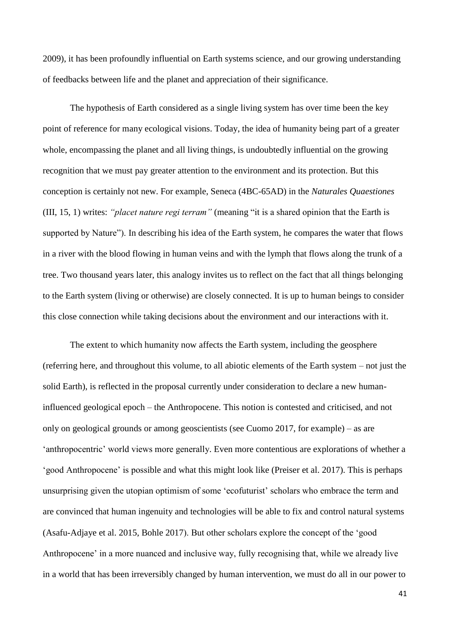2009), it has been profoundly influential on Earth systems science, and our growing understanding of feedbacks between life and the planet and appreciation of their significance.

The hypothesis of Earth considered as a single living system has over time been the key point of reference for many ecological visions. Today, the idea of humanity being part of a greater whole, encompassing the planet and all living things, is undoubtedly influential on the growing recognition that we must pay greater attention to the environment and its protection. But this conception is certainly not new. For example, Seneca (4BC-65AD) in the *Naturales Quaestiones* (III, 15, 1) writes: *"placet nature regi terram"* (meaning "it is a shared opinion that the Earth is supported by Nature"). In describing his idea of the Earth system, he compares the water that flows in a river with the blood flowing in human veins and with the lymph that flows along the trunk of a tree. Two thousand years later, this analogy invites us to reflect on the fact that all things belonging to the Earth system (living or otherwise) are closely connected. It is up to human beings to consider this close connection while taking decisions about the environment and our interactions with it.

The extent to which humanity now affects the Earth system, including the geosphere (referring here, and throughout this volume, to all abiotic elements of the Earth system – not just the solid Earth), is reflected in the proposal currently under consideration to declare a new humaninfluenced geological epoch – the Anthropocene. This notion is contested and criticised, and not only on geological grounds or among geoscientists (see Cuomo 2017, for example) – as are 'anthropocentric' world views more generally. Even more contentious are explorations of whether a 'good Anthropocene' is possible and what this might look like (Preiser et al. 2017). This is perhaps unsurprising given the utopian optimism of some 'ecofuturist' scholars who embrace the term and are convinced that human ingenuity and technologies will be able to fix and control natural systems (Asafu-Adjaye et al. 2015, Bohle 2017). But other scholars explore the concept of the 'good Anthropocene' in a more nuanced and inclusive way, fully recognising that, while we already live in a world that has been irreversibly changed by human intervention, we must do all in our power to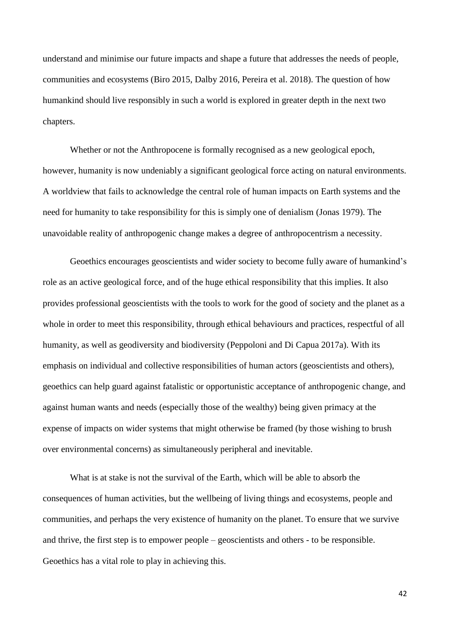understand and minimise our future impacts and shape a future that addresses the needs of people, communities and ecosystems (Biro 2015, Dalby 2016, Pereira et al. 2018). The question of how humankind should live responsibly in such a world is explored in greater depth in the next two chapters.

Whether or not the Anthropocene is formally recognised as a new geological epoch, however, humanity is now undeniably a significant geological force acting on natural environments. A worldview that fails to acknowledge the central role of human impacts on Earth systems and the need for humanity to take responsibility for this is simply one of denialism (Jonas 1979). The unavoidable reality of anthropogenic change makes a degree of anthropocentrism a necessity.

Geoethics encourages geoscientists and wider society to become fully aware of humankind's role as an active geological force, and of the huge ethical responsibility that this implies. It also provides professional geoscientists with the tools to work for the good of society and the planet as a whole in order to meet this responsibility, through ethical behaviours and practices, respectful of all humanity, as well as geodiversity and biodiversity (Peppoloni and Di Capua 2017a). With its emphasis on individual and collective responsibilities of human actors (geoscientists and others), geoethics can help guard against fatalistic or opportunistic acceptance of anthropogenic change, and against human wants and needs (especially those of the wealthy) being given primacy at the expense of impacts on wider systems that might otherwise be framed (by those wishing to brush over environmental concerns) as simultaneously peripheral and inevitable.

What is at stake is not the survival of the Earth, which will be able to absorb the consequences of human activities, but the wellbeing of living things and ecosystems, people and communities, and perhaps the very existence of humanity on the planet. To ensure that we survive and thrive, the first step is to empower people – geoscientists and others - to be responsible. Geoethics has a vital role to play in achieving this.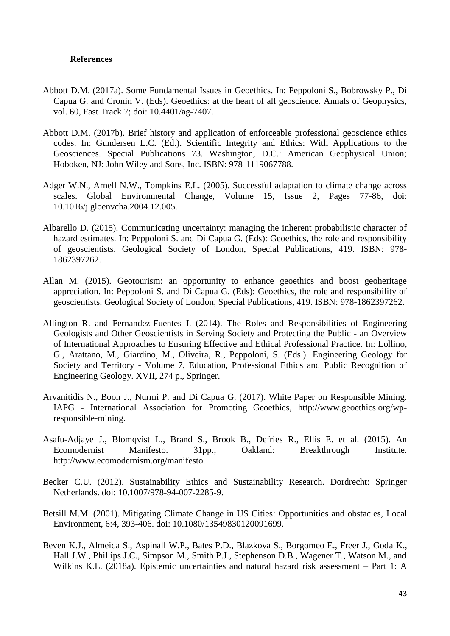## **References**

- Abbott D.M. (2017a). Some Fundamental Issues in Geoethics. In: Peppoloni S., Bobrowsky P., Di Capua G. and Cronin V. (Eds). Geoethics: at the heart of all geoscience. Annals of Geophysics, vol. 60, Fast Track 7; doi: 10.4401/ag-7407.
- Abbott D.M. (2017b). Brief history and application of enforceable professional geoscience ethics codes. In: Gundersen L.C. (Ed.). Scientific Integrity and Ethics: With Applications to the Geosciences. Special Publications 73. Washington, D.C.: American Geophysical Union; Hoboken, NJ: John Wiley and Sons, Inc. ISBN: 978-1119067788.
- Adger W.N., Arnell N.W., Tompkins E.L. (2005). Successful adaptation to climate change across scales. Global Environmental Change, Volume 15, Issue 2, Pages 77-86, doi: 10.1016/j.gloenvcha.2004.12.005.
- Albarello D. (2015). Communicating uncertainty: managing the inherent probabilistic character of hazard estimates. In: Peppoloni S. and Di Capua G. (Eds): Geoethics, the role and responsibility of geoscientists. Geological Society of London, Special Publications, 419. ISBN: 978- 1862397262.
- Allan M. (2015). Geotourism: an opportunity to enhance geoethics and boost geoheritage appreciation. In: Peppoloni S. and Di Capua G. (Eds): Geoethics, the role and responsibility of geoscientists. Geological Society of London, Special Publications, 419. ISBN: 978-1862397262.
- Allington R. and Fernandez-Fuentes I. (2014). The Roles and Responsibilities of Engineering Geologists and Other Geoscientists in Serving Society and Protecting the Public - an Overview of International Approaches to Ensuring Effective and Ethical Professional Practice. In: Lollino, G., Arattano, M., Giardino, M., Oliveira, R., Peppoloni, S. (Eds.). Engineering Geology for Society and Territory - Volume 7, Education, Professional Ethics and Public Recognition of Engineering Geology. XVII, 274 p., Springer.
- Arvanitidis N., Boon J., Nurmi P. and Di Capua G. (2017). White Paper on Responsible Mining. IAPG - International Association for Promoting Geoethics, http://www.geoethics.org/wpresponsible-mining.
- Asafu-Adjaye J., Blomqvist L., Brand S., Brook B., Defries R., Ellis E. et al. (2015). An Ecomodernist Manifesto. 31pp., Oakland: Breakthrough Institute. http://www.ecomodernism.org/manifesto.
- Becker C.U. (2012). Sustainability Ethics and Sustainability Research. Dordrecht: Springer Netherlands. doi: 10.1007/978-94-007-2285-9.
- Betsill M.M. (2001). Mitigating Climate Change in US Cities: Opportunities and obstacles, Local Environment, 6:4, 393-406. doi: 10.1080/13549830120091699.
- Beven K.J., Almeida S., Aspinall W.P., Bates P.D., Blazkova S., Borgomeo E., Freer J., Goda K., Hall J.W., Phillips J.C., Simpson M., Smith P.J., Stephenson D.B., Wagener T., Watson M., and Wilkins K.L. (2018a). Epistemic uncertainties and natural hazard risk assessment – Part 1: A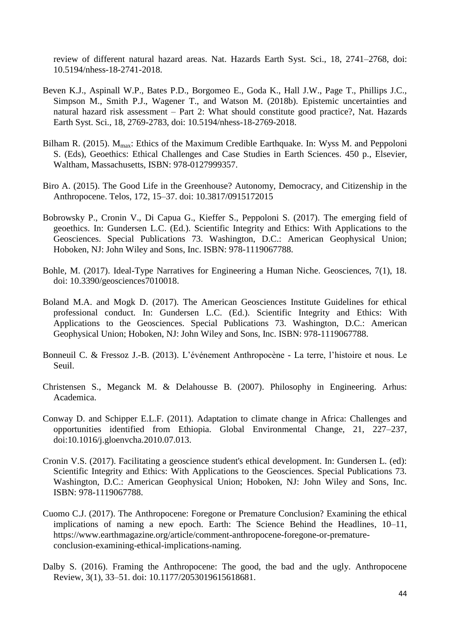review of different natural hazard areas. Nat. Hazards Earth Syst. Sci., 18, 2741–2768, doi: 10.5194/nhess-18-2741-2018.

- Beven K.J., Aspinall W.P., Bates P.D., Borgomeo E., Goda K., Hall J.W., Page T., Phillips J.C., Simpson M., Smith P.J., Wagener T., and Watson M. (2018b). Epistemic uncertainties and natural hazard risk assessment – Part 2: What should constitute good practice?, Nat. Hazards Earth Syst. Sci., 18, 2769-2783, doi: 10.5194/nhess-18-2769-2018.
- Bilham R. (2015).  $M_{\text{max}}$ : Ethics of the Maximum Credible Earthquake. In: Wyss M. and Peppoloni S. (Eds), Geoethics: Ethical Challenges and Case Studies in Earth Sciences. 450 p., Elsevier, Waltham, Massachusetts, ISBN: 978-0127999357.
- Biro A. (2015). The Good Life in the Greenhouse? Autonomy, Democracy, and Citizenship in the Anthropocene. Telos, 172, 15–37. doi: 10.3817/0915172015
- Bobrowsky P., Cronin V., Di Capua G., Kieffer S., Peppoloni S. (2017). The emerging field of geoethics. In: Gundersen L.C. (Ed.). Scientific Integrity and Ethics: With Applications to the Geosciences. Special Publications 73. Washington, D.C.: American Geophysical Union; Hoboken, NJ: John Wiley and Sons, Inc. ISBN: 978-1119067788.
- Bohle, M. (2017). Ideal-Type Narratives for Engineering a Human Niche. Geosciences, 7(1), 18. doi: 10.3390/geosciences7010018.
- Boland M.A. and Mogk D. (2017). The American Geosciences Institute Guidelines for ethical professional conduct. In: Gundersen L.C. (Ed.). Scientific Integrity and Ethics: With Applications to the Geosciences. Special Publications 73. Washington, D.C.: American Geophysical Union; Hoboken, NJ: John Wiley and Sons, Inc. ISBN: 978-1119067788.
- Bonneuil C. & Fressoz J.-B. (2013). L'événement Anthropocène La terre, l'histoire et nous. Le Seuil.
- Christensen S., Meganck M. & Delahousse B. (2007). Philosophy in Engineering. Arhus: Academica.
- Conway D. and Schipper E.L.F. (2011). Adaptation to climate change in Africa: Challenges and opportunities identified from Ethiopia. Global Environmental Change, 21, 227–237, doi:10.1016/j.gloenvcha.2010.07.013.
- Cronin V.S. (2017). Facilitating a geoscience student's ethical development. In: Gundersen L. (ed): Scientific Integrity and Ethics: With Applications to the Geosciences. Special Publications 73. Washington, D.C.: American Geophysical Union; Hoboken, NJ: John Wiley and Sons, Inc. ISBN: 978-1119067788.
- Cuomo C.J. (2017). The Anthropocene: Foregone or Premature Conclusion? Examining the ethical implications of naming a new epoch. Earth: The Science Behind the Headlines, 10–11, https://www.earthmagazine.org/article/comment-anthropocene-foregone-or-prematureconclusion-examining-ethical-implications-naming.
- Dalby S. (2016). Framing the Anthropocene: The good, the bad and the ugly. Anthropocene Review, 3(1), 33–51. doi: 10.1177/2053019615618681.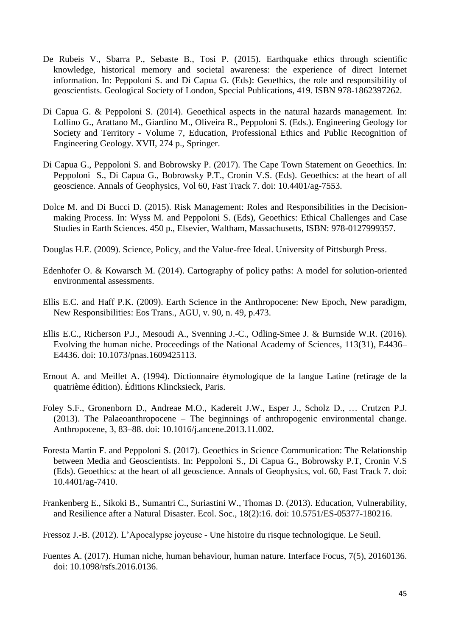- De Rubeis V., Sbarra P., Sebaste B., Tosi P. (2015). Earthquake ethics through scientific knowledge, historical memory and societal awareness: the experience of direct Internet information. In: Peppoloni S. and Di Capua G. (Eds): Geoethics, the role and responsibility of geoscientists. Geological Society of London, Special Publications, 419. ISBN 978-1862397262.
- Di Capua G. & Peppoloni S. (2014). Geoethical aspects in the natural hazards management. In: Lollino G., Arattano M., Giardino M., Oliveira R., Peppoloni S. (Eds.). Engineering Geology for Society and Territory - Volume 7, Education, Professional Ethics and Public Recognition of Engineering Geology. XVII, 274 p., Springer.
- Di Capua G., Peppoloni S. and Bobrowsky P. (2017). [The](http://www.annalsofgeophysics.eu/index.php/annals/article/view/7473) Cape Town Statement on Geoethics. In: Peppoloni S., Di Capua G., Bobrowsky P.T., Cronin V.S. (Eds). Geoethics: at the heart of all geoscience. Annals of Geophysics, Vol 60, Fast Track 7. doi: [10.4401/ag-7553.](http://dx.doi.org/10.4401/ag-7553)
- Dolce M. and Di Bucci D. (2015). Risk Management: Roles and Responsibilities in the Decisionmaking Process. In: Wyss M. and Peppoloni S. (Eds), Geoethics: Ethical Challenges and Case Studies in Earth Sciences. 450 p., Elsevier, Waltham, Massachusetts, ISBN: 978-0127999357.
- Douglas H.E. (2009). Science, Policy, and the Value-free Ideal. University of Pittsburgh Press.
- Edenhofer O. & Kowarsch M. (2014). Cartography of policy paths: A model for solution-oriented environmental assessments.
- Ellis E.C. and Haff P.K. (2009). Earth Science in the Anthropocene: New Epoch, New paradigm, New Responsibilities: Eos Trans., AGU, v. 90, n. 49, p.473.
- Ellis E.C., Richerson P.J., Mesoudi A., Svenning J.-C., Odling-Smee J. & Burnside W.R. (2016). Evolving the human niche. Proceedings of the National Academy of Sciences, 113(31), E4436– E4436. doi: 10.1073/pnas.1609425113.
- Ernout A. and Meillet A. (1994). Dictionnaire étymologique de la langue Latine (retirage de la quatrième édition). Éditions Klincksieck, Paris.
- Foley S.F., Gronenborn D., Andreae M.O., Kadereit J.W., Esper J., Scholz D., … Crutzen P.J. (2013). The Palaeoanthropocene – The beginnings of anthropogenic environmental change. Anthropocene, 3, 83–88. doi: 10.1016/j.ancene.2013.11.002.
- Foresta Martin F. and Peppoloni S. (2017). Geoethics in Science Communication: The Relationship between Media and Geoscientists. In: Peppoloni S., Di Capua G., Bobrowsky P.T, Cronin V.S (Eds). Geoethics: at the heart of all geoscience. Annals of Geophysics, vol. 60, Fast Track 7. doi: 10.4401/ag-7410.
- Frankenberg E., Sikoki B., Sumantri C., Suriastini W., Thomas D. (2013). Education, Vulnerability, and Resilience after a Natural Disaster. Ecol. Soc., 18(2):16. doi: 10.5751/ES-05377-180216.

Fressoz J.-B. (2012). L'Apocalypse joyeuse - Une histoire du risque technologique. Le Seuil.

Fuentes A. (2017). Human niche, human behaviour, human nature. Interface Focus, 7(5), 20160136. doi: 10.1098/rsfs.2016.0136.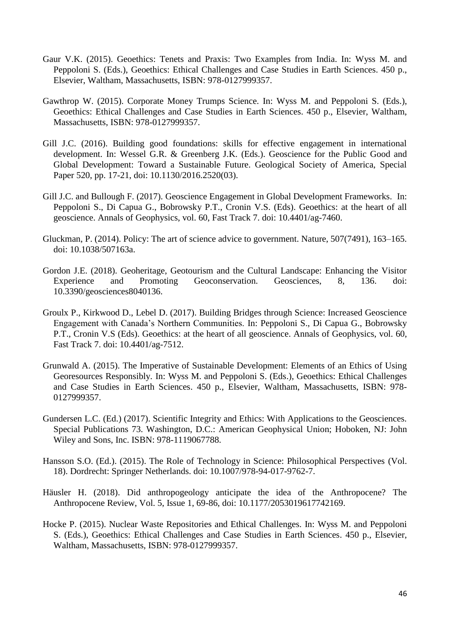- Gaur V.K. (2015). Geoethics: Tenets and Praxis: Two Examples from India. In: Wyss M. and Peppoloni S. (Eds.), Geoethics: Ethical Challenges and Case Studies in Earth Sciences. 450 p., Elsevier, Waltham, Massachusetts, ISBN: 978-0127999357.
- Gawthrop W. (2015). Corporate Money Trumps Science. In: Wyss M. and Peppoloni S. (Eds.), Geoethics: Ethical Challenges and Case Studies in Earth Sciences. 450 p., Elsevier, Waltham, Massachusetts, ISBN: 978-0127999357.
- Gill J.C. (2016). Building good foundations: skills for effective engagement in international development. In: Wessel G.R. & Greenberg J.K. (Eds.). Geoscience for the Public Good and Global Development: Toward a Sustainable Future. Geological Society of America, Special Paper 520, pp. 17-21, doi: 10.1130/2016.2520(03).
- Gill J.C. and Bullough F. (2017). Geoscience Engagement in Global Development Frameworks. In: Peppoloni S., Di Capua G., Bobrowsky P.T., Cronin V.S. (Eds). Geoethics: at the heart of all geoscience. Annals of Geophysics, vol. 60, Fast Track 7. doi: 10.4401/ag-7460.
- Gluckman, P. (2014). Policy: The art of science advice to government. Nature, 507(7491), 163–165. doi: 10.1038/507163a.
- Gordon J.E. (2018). Geoheritage, Geotourism and the Cultural Landscape: Enhancing the Visitor Experience and Promoting Geoconservation. Geosciences, 8, 136. doi: 10.3390/geosciences8040136.
- Groulx P., Kirkwood D., Lebel D. (2017). Building Bridges through Science: Increased Geoscience Engagement with Canada's Northern Communities. In: Peppoloni S., Di Capua G., Bobrowsky P.T., Cronin V.S (Eds). Geoethics: at the heart of all geoscience. Annals of Geophysics, vol. 60, Fast Track 7. doi: 10.4401/ag-7512.
- Grunwald A. (2015). The Imperative of Sustainable Development: Elements of an Ethics of Using Georesources Responsibly. In: Wyss M. and Peppoloni S. (Eds.), Geoethics: Ethical Challenges and Case Studies in Earth Sciences. 450 p., Elsevier, Waltham, Massachusetts, ISBN: 978- 0127999357.
- Gundersen L.C. (Ed.) (2017). Scientific Integrity and Ethics: With Applications to the Geosciences. Special Publications 73. Washington, D.C.: American Geophysical Union; Hoboken, NJ: John Wiley and Sons, Inc. ISBN: 978-1119067788.
- Hansson S.O. (Ed.). (2015). The Role of Technology in Science: Philosophical Perspectives (Vol. 18). Dordrecht: Springer Netherlands. doi: 10.1007/978-94-017-9762-7.
- Häusler H. (2018). Did anthropogeology anticipate the idea of the Anthropocene? The Anthropocene Review, Vol. 5, Issue 1, 69-86, doi: 10.1177/2053019617742169.
- Hocke P. (2015). Nuclear Waste Repositories and Ethical Challenges. In: Wyss M. and Peppoloni S. (Eds.), Geoethics: Ethical Challenges and Case Studies in Earth Sciences. 450 p., Elsevier, Waltham, Massachusetts, ISBN: 978-0127999357.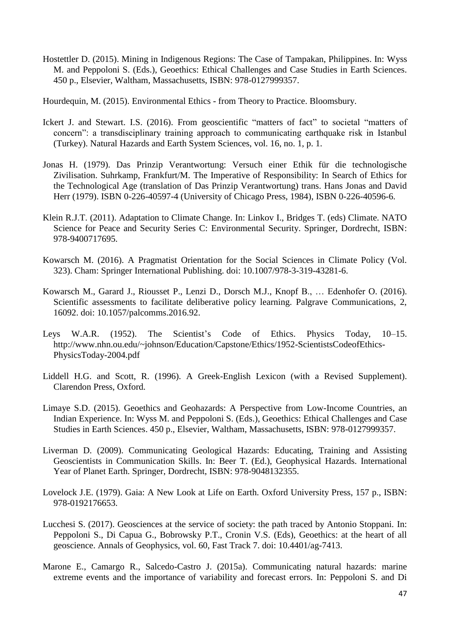Hostettler D. (2015). Mining in Indigenous Regions: The Case of Tampakan, Philippines. In: Wyss M. and Peppoloni S. (Eds.), Geoethics: Ethical Challenges and Case Studies in Earth Sciences. 450 p., Elsevier, Waltham, Massachusetts, ISBN: 978-0127999357.

Hourdequin, M. (2015). Environmental Ethics - from Theory to Practice. Bloomsbury.

- Ickert J. and Stewart. I.S. (2016). From geoscientific "matters of fact" to societal "matters of concern": a transdisciplinary training approach to communicating earthquake risk in Istanbul (Turkey). Natural Hazards and Earth System Sciences, vol. 16, no. 1, p. 1.
- Jonas H. (1979). Das Prinzip Verantwortung: Versuch einer Ethik für die technologische Zivilisation. Suhrkamp, Frankfurt/M. The Imperative of Responsibility: In Search of Ethics for the Technological Age (translation of Das Prinzip Verantwortung) trans. Hans Jonas and David Herr (1979). ISBN 0-226-40597-4 (University of Chicago Press, 1984), ISBN 0-226-40596-6.
- Klein R.J.T. (2011). Adaptation to Climate Change. In: Linkov I., Bridges T. (eds) Climate. NATO Science for Peace and Security Series C: Environmental Security. Springer, Dordrecht, ISBN: 978-9400717695.
- Kowarsch M. (2016). A Pragmatist Orientation for the Social Sciences in Climate Policy (Vol. 323). Cham: Springer International Publishing. doi: 10.1007/978-3-319-43281-6.
- Kowarsch M., Garard J., Riousset P., Lenzi D., Dorsch M.J., Knopf B., … Edenhofer O. (2016). Scientific assessments to facilitate deliberative policy learning. Palgrave Communications, 2, 16092. doi: 10.1057/palcomms.2016.92.
- Leys W.A.R. (1952). The Scientist's Code of Ethics. Physics Today, 10–15. http://www.nhn.ou.edu/~johnson/Education/Capstone/Ethics/1952-ScientistsCodeofEthics-PhysicsToday-2004.pdf
- Liddell H.G. and Scott, R. (1996). A Greek-English Lexicon (with a Revised Supplement). Clarendon Press, Oxford.
- Limaye S.D. (2015). Geoethics and Geohazards: A Perspective from Low-Income Countries, an Indian Experience. In: Wyss M. and Peppoloni S. (Eds.), Geoethics: Ethical Challenges and Case Studies in Earth Sciences. 450 p., Elsevier, Waltham, Massachusetts, ISBN: 978-0127999357.
- Liverman D. (2009). Communicating Geological Hazards: Educating, Training and Assisting Geoscientists in Communication Skills. In: Beer T. (Ed.), Geophysical Hazards. International Year of Planet Earth. Springer, Dordrecht, ISBN: 978-9048132355.
- Lovelock J.E. (1979). Gaia: A New Look at Life on Earth. Oxford University Press, 157 p., ISBN: 978-0192176653.
- Lucchesi S. (2017). Geosciences at the service of society: the path traced by Antonio Stoppani. In: Peppoloni S., Di Capua G., Bobrowsky P.T., Cronin V.S. (Eds), Geoethics: at the heart of all geoscience. Annals of Geophysics, vol. 60, Fast Track 7. doi: 10.4401/ag-7413.
- Marone E., Camargo R., Salcedo-Castro J. (2015a). Communicating natural hazards: marine extreme events and the importance of variability and forecast errors. In: Peppoloni S. and Di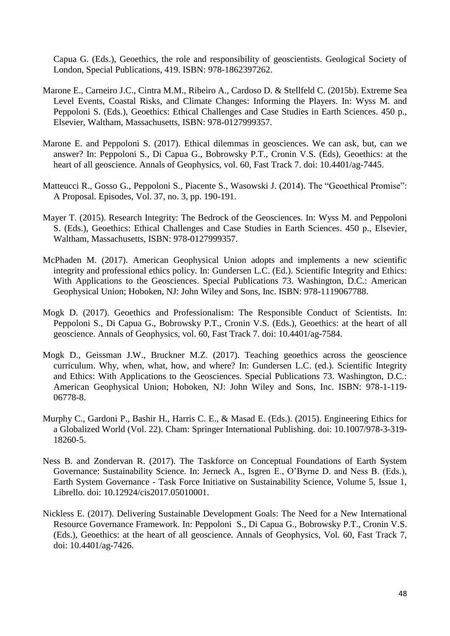Capua G. (Eds.), Geoethics, the role and responsibility of geoscientists. Geological Society of London, Special Publications, 419. ISBN: 978-1862397262.

- Marone E., Carneiro J.C., Cintra M.M., Ribeiro A., Cardoso D. & Stellfeld C. (2015b). Extreme Sea Level Events, Coastal Risks, and Climate Changes: Informing the Players. In: Wyss M. and Peppoloni S. (Eds.), Geoethics: Ethical Challenges and Case Studies in Earth Sciences. 450 p., Elsevier, Waltham, Massachusetts, ISBN: 978-0127999357.
- Marone E. and Peppoloni S. (2017). Ethical dilemmas in geosciences. We can ask, but, can we answer? In: Peppoloni S., Di Capua G., Bobrowsky P.T., Cronin V.S. (Eds), Geoethics: at the heart of all geoscience. Annals of Geophysics, vol. 60, Fast Track 7. doi: 10.4401/ag-7445.
- Matteucci R., Gosso G., Peppoloni S., Piacente S., Wasowski J. (2014). The "Geoethical Promise": A Proposal. Episodes, Vol. 37, no. 3, pp. 190-191.
- Mayer T. (2015). Research Integrity: The Bedrock of the Geosciences. In: Wyss M. and Peppoloni S. (Eds.), Geoethics: Ethical Challenges and Case Studies in Earth Sciences. 450 p., Elsevier, Waltham, Massachusetts, ISBN: 978-0127999357.
- McPhaden M. (2017). American Geophysical Union adopts and implements a new scientific integrity and professional ethics policy. In: Gundersen L.C. (Ed.). Scientific Integrity and Ethics: With Applications to the Geosciences. Special Publications 73. Washington, D.C.: American Geophysical Union; Hoboken, NJ: John Wiley and Sons, Inc. ISBN: 978-1119067788.
- Mogk D. (2017). Geoethics and Professionalism: The Responsible Conduct of Scientists. In: Peppoloni S., Di Capua G., Bobrowsky P.T., Cronin V.S. (Eds.), Geoethics: at the heart of all geoscience. Annals of Geophysics, vol. 60, Fast Track 7. doi: 10.4401/ag-7584.
- Mogk D., Geissman J.W., Bruckner M.Z. (2017). Teaching geoethics across the geoscience curriculum. Why, when, what, how, and where? In: Gundersen L.C. (ed.). Scientific Integrity and Ethics: With Applications to the Geosciences. Special Publications 73. Washington, D.C.: American Geophysical Union; Hoboken, NJ: John Wiley and Sons, Inc. ISBN: 978-1-119- 06778-8.
- Murphy C., Gardoni P., Bashir H., Harris C. E., & Masad E. (Eds.). (2015). Engineering Ethics for a Globalized World (Vol. 22). Cham: Springer International Publishing. doi: 10.1007/978-3-319- 18260-5.
- Ness B. and Zondervan R. (2017). The Taskforce on Conceptual Foundations of Earth System Governance: Sustainability Science. In: Jerneck A., Isgren E., O'Byrne D. and Ness B. (Eds.), Earth System Governance - Task Force Initiative on Sustainability Science, Volume 5, Issue 1, Librello. doi: 10.12924/cis2017.05010001.
- Nickless E. (2017). Delivering Sustainable Development Goals: The Need for a New International Resource Governance Framework. In: Peppoloni S., Di Capua G., Bobrowsky P.T., Cronin V.S. (Eds.), Geoethics: at the heart of all geoscience. Annals of Geophysics, Vol. 60, Fast Track 7, doi: 10.4401/ag-7426.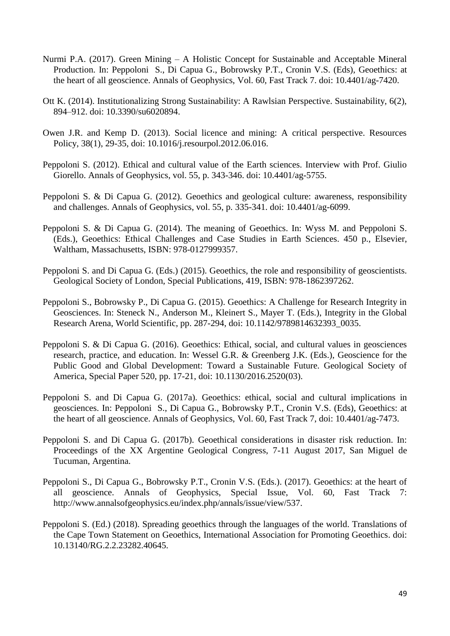- Nurmi P.A. (2017). Green Mining A Holistic Concept for Sustainable and Acceptable Mineral Production. In: Peppoloni S., Di Capua G., Bobrowsky P.T., Cronin V.S. (Eds), Geoethics: at the heart of all geoscience. Annals of Geophysics, Vol. 60, Fast Track 7. doi: 10.4401/ag-7420.
- Ott K. (2014). Institutionalizing Strong Sustainability: A Rawlsian Perspective. Sustainability, 6(2), 894–912. doi: 10.3390/su6020894.
- Owen J.R. and Kemp D. (2013). Social licence and mining: A critical perspective. Resources Policy, 38(1), 29-35, doi: 10.1016/j.resourpol.2012.06.016.
- Peppoloni S. (2012). Ethical and cultural value of the Earth sciences. Interview with Prof. Giulio Giorello. Annals of Geophysics, vol. 55, p. 343-346. doi: 10.4401/ag-5755.
- Peppoloni S. & Di Capua G. (2012). Geoethics and geological culture: awareness, responsibility and challenges. Annals of Geophysics, vol. 55, p. 335-341. doi: 10.4401/ag-6099.
- Peppoloni S. & Di Capua G. (2014). The meaning of Geoethics. In: Wyss M. and Peppoloni S. (Eds.), Geoethics: Ethical Challenges and Case Studies in Earth Sciences. 450 p., Elsevier, Waltham, Massachusetts, ISBN: 978-0127999357.
- Peppoloni S. and Di Capua G. (Eds.) (2015). Geoethics, the role and responsibility of geoscientists. Geological Society of London, Special Publications, 419, ISBN: 978-1862397262.
- Peppoloni S., Bobrowsky P., Di Capua G. (2015). Geoethics: A Challenge for Research Integrity in Geosciences. In: Steneck N., Anderson M., Kleinert S., Mayer T. (Eds.), Integrity in the Global Research Arena, World Scientific, pp. 287-294, doi: 10.1142/9789814632393\_0035.
- Peppoloni S. & Di Capua G. (2016). Geoethics: Ethical, social, and cultural values in geosciences research, practice, and education. In: Wessel G.R. & Greenberg J.K. (Eds.), Geoscience for the Public Good and Global Development: Toward a Sustainable Future. Geological Society of America, Special Paper 520, pp. 17-21, doi: 10.1130/2016.2520(03).
- Peppoloni S. and Di Capua G. (2017a). [Geoethics: ethical, social and cultural implications in](http://www.annalsofgeophysics.eu/index.php/annals/article/view/7473)  [geosciences.](http://www.annalsofgeophysics.eu/index.php/annals/article/view/7473) In: Peppoloni S., Di Capua G., Bobrowsky P.T., Cronin V.S. (Eds), Geoethics: at the heart of all geoscience. Annals of Geophysics, Vol. 60, Fast Track 7, doi: [10.4401/ag-7473.](http://dx.doi.org/10.4401/ag-7473)
- Peppoloni S. and Di Capua G. (2017b). Geoethical considerations in disaster risk reduction. In: Proceedings of the XX Argentine Geological Congress, 7-11 August 2017, San Miguel de Tucuman, Argentina.
- Peppoloni S., Di Capua G., Bobrowsky P.T., Cronin V.S. (Eds.). (2017). Geoethics: at the heart of all geoscience. Annals of Geophysics, Special Issue, Vol. 60, Fast Track 7: http://www.annalsofgeophysics.eu/index.php/annals/issue/view/537.
- Peppoloni S. (Ed.) (2018). Spreading geoethics through the languages of the world. Translations of the Cape Town Statement on Geoethics, International Association for Promoting Geoethics. doi: 10.13140/RG.2.2.23282.40645.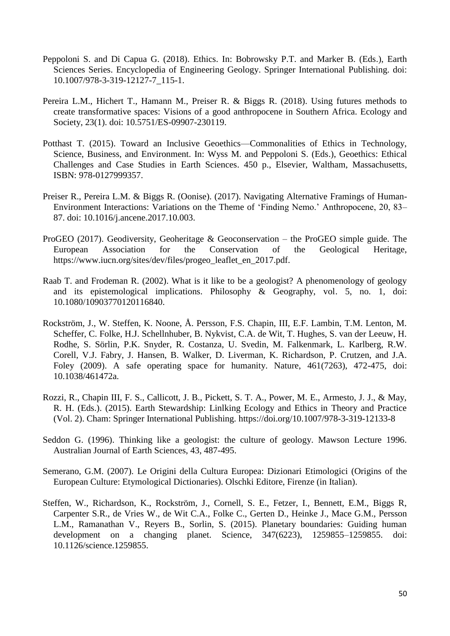- Peppoloni S. and Di Capua G. (2018). Ethics. In: Bobrowsky P.T. and Marker B. (Eds.), [Earth](https://meteor.springer.com/project/dashboard.jsf?id=389&tab=About&auth_user=414794&auth_key=a84064b8c97e3ff5620cf90239b93e14)  [Sciences Series. Encyclopedia of Engineering Geology.](https://meteor.springer.com/project/dashboard.jsf?id=389&tab=About&auth_user=414794&auth_key=a84064b8c97e3ff5620cf90239b93e14) Springer International Publishing. doi: 10.1007/978-3-319-12127-7\_115-1.
- Pereira L.M., Hichert T., Hamann M., Preiser R. & Biggs R. (2018). Using futures methods to create transformative spaces: Visions of a good anthropocene in Southern Africa. Ecology and Society, 23(1). doi: 10.5751/ES-09907-230119.
- Potthast T. (2015). Toward an Inclusive Geoethics—Commonalities of Ethics in Technology, Science, Business, and Environment. In: Wyss M. and Peppoloni S. (Eds.), Geoethics: Ethical Challenges and Case Studies in Earth Sciences. 450 p., Elsevier, Waltham, Massachusetts, ISBN: 978-0127999357.
- Preiser R., Pereira L.M. & Biggs R. (Oonise). (2017). Navigating Alternative Framings of Human-Environment Interactions: Variations on the Theme of 'Finding Nemo.' Anthropocene, 20, 83– 87. doi: 10.1016/j.ancene.2017.10.003.
- ProGEO (2017). Geodiversity, Geoheritage & Geoconservation the ProGEO simple guide. The European Association for the Conservation of the Geological Heritage, https://www.iucn.org/sites/dev/files/progeo\_leaflet\_en\_2017.pdf.
- Raab T. and Frodeman R. (2002). What is it like to be a geologist? A phenomenology of geology and its epistemological implications. Philosophy & Geography, vol. 5, no. 1, doi: 10.1080/10903770120116840.
- Rockström, J., W. Steffen, K. Noone, Å. Persson, F.S. Chapin, III, E.F. Lambin, T.M. Lenton, M. Scheffer, C. Folke, H.J. Schellnhuber, B. Nykvist, C.A. de Wit, T. Hughes, S. van der Leeuw, H. Rodhe, S. Sörlin, P.K. Snyder, R. Costanza, U. Svedin, M. Falkenmark, L. Karlberg, R.W. Corell, V.J. Fabry, J. Hansen, B. Walker, D. Liverman, K. Richardson, P. Crutzen, and J.A. Foley (2009). A safe operating space for humanity. Nature, 461(7263), 472-475, doi: 10.1038/461472a.
- Rozzi, R., Chapin III, F. S., Callicott, J. B., Pickett, S. T. A., Power, M. E., Armesto, J. J., & May, R. H. (Eds.). (2015). Earth Stewardship: Linlking Ecology and Ethics in Theory and Practice (Vol. 2). Cham: Springer International Publishing. https://doi.org/10.1007/978-3-319-12133-8
- Seddon G. (1996). Thinking like a geologist: the culture of geology. Mawson Lecture 1996. Australian Journal of Earth Sciences, 43, 487-495.
- Semerano, G.M. (2007). Le Origini della Cultura Europea: Dizionari Etimologici (Origins of the European Culture: Etymological Dictionaries). Olschki Editore, Firenze (in Italian).
- Steffen, W., Richardson, K., Rockström, J., Cornell, S. E., Fetzer, I., Bennett, E.M., Biggs R, Carpenter S.R., de Vries W., de Wit C.A., Folke C., Gerten D., Heinke J., Mace G.M., Persson L.M., Ramanathan V., Reyers B., Sorlin, S. (2015). Planetary boundaries: Guiding human development on a changing planet. Science, 347(6223), 1259855–1259855. doi: 10.1126/science.1259855.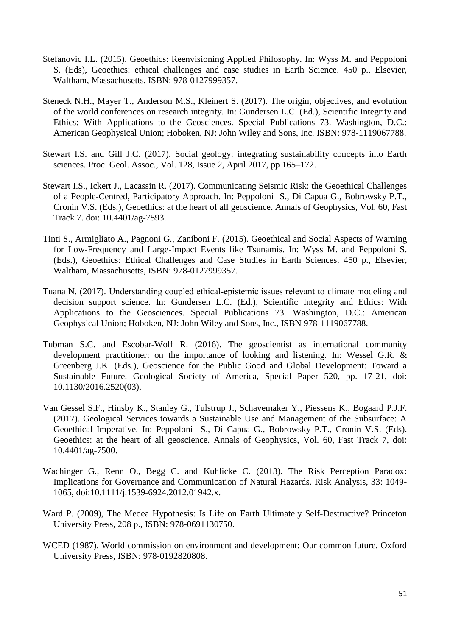- Stefanovic I.L. (2015). Geoethics: Reenvisioning Applied Philosophy. In: Wyss M. and Peppoloni S. (Eds), Geoethics: ethical challenges and case studies in Earth Science. 450 p., Elsevier, Waltham, Massachusetts, ISBN: 978-0127999357.
- Steneck N.H., Mayer T., Anderson M.S., Kleinert S. (2017). The origin, objectives, and evolution of the world conferences on research integrity. In: Gundersen L.C. (Ed.), Scientific Integrity and Ethics: With Applications to the Geosciences. Special Publications 73. Washington, D.C.: American Geophysical Union; Hoboken, NJ: John Wiley and Sons, Inc. ISBN: 978-1119067788.
- Stewart I.S. and Gill J.C. (2017). Social geology: integrating sustainability concepts into Earth sciences. Proc. Geol. Assoc., Vol. 128, Issue 2, April 2017, pp 165–172.
- Stewart I.S., Ickert J., Lacassin R. (2017). Communicating Seismic Risk: the Geoethical Challenges of a People-Centred, Participatory Approach. In: Peppoloni S., Di Capua G., Bobrowsky P.T., Cronin V.S. (Eds.), Geoethics: at the heart of all geoscience. Annals of Geophysics, Vol. 60, Fast Track 7. doi: 10.4401/ag-7593.
- Tinti S., Armigliato A., Pagnoni G., Zaniboni F. (2015). Geoethical and Social Aspects of Warning for Low-Frequency and Large-Impact Events like Tsunamis. In: Wyss M. and Peppoloni S. (Eds.), Geoethics: Ethical Challenges and Case Studies in Earth Sciences. 450 p., Elsevier, Waltham, Massachusetts, ISBN: 978-0127999357.
- Tuana N. (2017). Understanding coupled ethical‐epistemic issues relevant to climate modeling and decision support science. In: Gundersen L.C. (Ed.), Scientific Integrity and Ethics: With Applications to the Geosciences. Special Publications 73. Washington, D.C.: American Geophysical Union; Hoboken, NJ: John Wiley and Sons, Inc., ISBN 978-1119067788.
- Tubman S.C. and Escobar-Wolf R. (2016). The geoscientist as international community development practitioner: on the importance of looking and listening. In: Wessel G.R. & Greenberg J.K. (Eds.), Geoscience for the Public Good and Global Development: Toward a Sustainable Future. Geological Society of America, Special Paper 520, pp. 17-21, doi: 10.1130/2016.2520(03).
- Van Gessel S.F., Hinsby K., Stanley G., Tulstrup J., Schavemaker Y., Piessens K., Bogaard P.J.F. (2017). Geological Services towards a Sustainable Use and Management of the Subsurface: A Geoethical Imperative. In: Peppoloni S., Di Capua G., Bobrowsky P.T., Cronin V.S. (Eds). Geoethics: at the heart of all geoscience. Annals of Geophysics, Vol. 60, Fast Track 7, doi: 10.4401/ag-7500.
- Wachinger G., Renn O., Begg C. and Kuhlicke C. (2013). The Risk Perception Paradox: Implications for Governance and Communication of Natural Hazards. Risk Analysis, 33: 1049- 1065, doi:10.1111/j.1539-6924.2012.01942.x.
- Ward P. (2009), The Medea Hypothesis: Is Life on Earth Ultimately Self-Destructive? Princeton University Press, 208 p., ISBN: 978-0691130750.
- WCED (1987). World commission on environment and development: Our common future. Oxford University Press, ISBN: 978-0192820808.